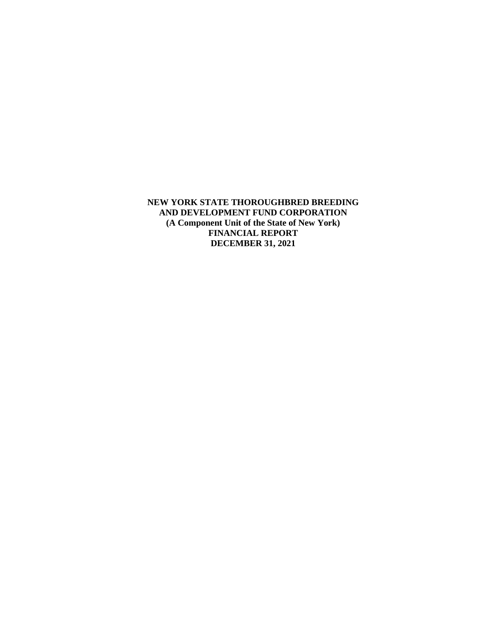**NEW YORK STATE THOROUGHBRED BREEDING AND DEVELOPMENT FUND CORPORATION (A Component Unit of the State of New York) FINANCIAL REPORT DECEMBER 31, 2021**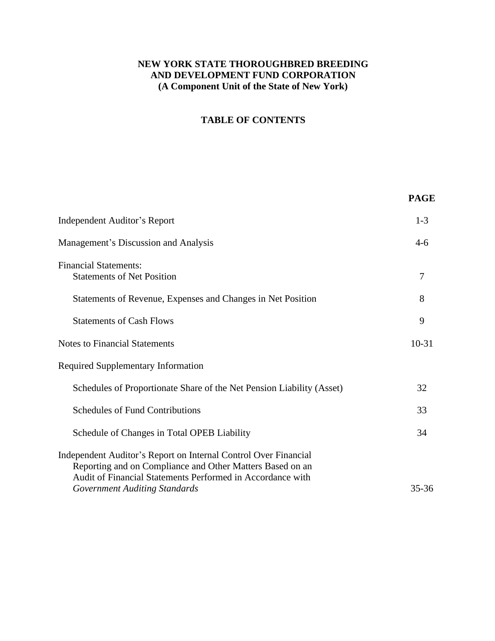# **NEW YORK STATE THOROUGHBRED BREEDING AND DEVELOPMENT FUND CORPORATION (A Component Unit of the State of New York)**

# **TABLE OF CONTENTS**

|                                                                                                                                                                                                                                    | <b>PAGE</b> |
|------------------------------------------------------------------------------------------------------------------------------------------------------------------------------------------------------------------------------------|-------------|
| Independent Auditor's Report                                                                                                                                                                                                       | $1-3$       |
| Management's Discussion and Analysis                                                                                                                                                                                               | $4-6$       |
| <b>Financial Statements:</b><br><b>Statements of Net Position</b>                                                                                                                                                                  | 7           |
| Statements of Revenue, Expenses and Changes in Net Position                                                                                                                                                                        | 8           |
| <b>Statements of Cash Flows</b>                                                                                                                                                                                                    | 9           |
| <b>Notes to Financial Statements</b>                                                                                                                                                                                               | $10-31$     |
| <b>Required Supplementary Information</b>                                                                                                                                                                                          |             |
| Schedules of Proportionate Share of the Net Pension Liability (Asset)                                                                                                                                                              | 32          |
| <b>Schedules of Fund Contributions</b>                                                                                                                                                                                             | 33          |
| Schedule of Changes in Total OPEB Liability                                                                                                                                                                                        | 34          |
| Independent Auditor's Report on Internal Control Over Financial<br>Reporting and on Compliance and Other Matters Based on an<br>Audit of Financial Statements Performed in Accordance with<br><b>Government Auditing Standards</b> | $35 - 36$   |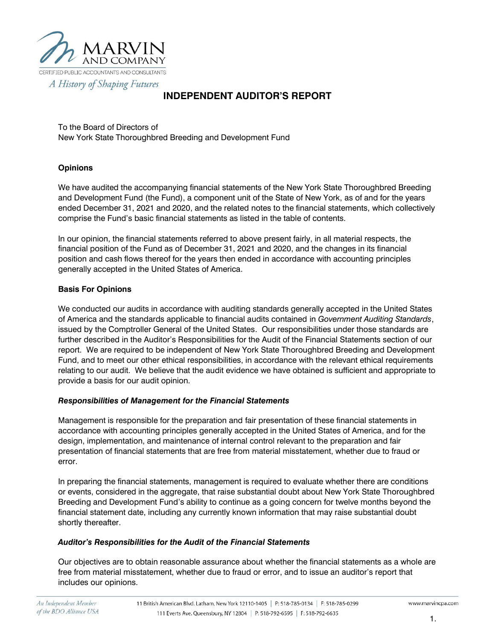

A History of Shaping Futures

# **INDEPENDENT AUDITOR'S REPORT**

To the Board of Directors of New York State Thoroughbred Breeding and Development Fund

#### **Opinions**

We have audited the accompanying financial statements of the New York State Thoroughbred Breeding and Development Fund (the Fund), a component unit of the State of New York, as of and for the years ended December 31, 2021 and 2020, and the related notes to the financial statements, which collectively comprise the Fund's basic financial statements as listed in the table of contents.

In our opinion, the financial statements referred to above present fairly, in all material respects, the financial position of the Fund as of December 31, 2021 and 2020, and the changes in its financial position and cash flows thereof for the years then ended in accordance with accounting principles generally accepted in the United States of America.

#### **Basis For Opinions**

We conducted our audits in accordance with auditing standards generally accepted in the United States of America and the standards applicable to financial audits contained in *Government Auditing Standards*, issued by the Comptroller General of the United States. Our responsibilities under those standards are further described in the Auditor's Responsibilities for the Audit of the Financial Statements section of our report. We are required to be independent of New York State Thoroughbred Breeding and Development Fund, and to meet our other ethical responsibilities, in accordance with the relevant ethical requirements relating to our audit. We believe that the audit evidence we have obtained is sufficient and appropriate to provide a basis for our audit opinion.

#### *Responsibilities of Management for the Financial Statements*

Management is responsible for the preparation and fair presentation of these financial statements in accordance with accounting principles generally accepted in the United States of America, and for the design, implementation, and maintenance of internal control relevant to the preparation and fair presentation of financial statements that are free from material misstatement, whether due to fraud or error.

In preparing the financial statements, management is required to evaluate whether there are conditions or events, considered in the aggregate, that raise substantial doubt about New York State Thoroughbred Breeding and Development Fund's ability to continue as a going concern for twelve months beyond the financial statement date, including any currently known information that may raise substantial doubt shortly thereafter.

#### *Auditor's Responsibilities for the Audit of the Financial Statements*

Our objectives are to obtain reasonable assurance about whether the financial statements as a whole are free from material misstatement, whether due to fraud or error, and to issue an auditor's report that includes our opinions.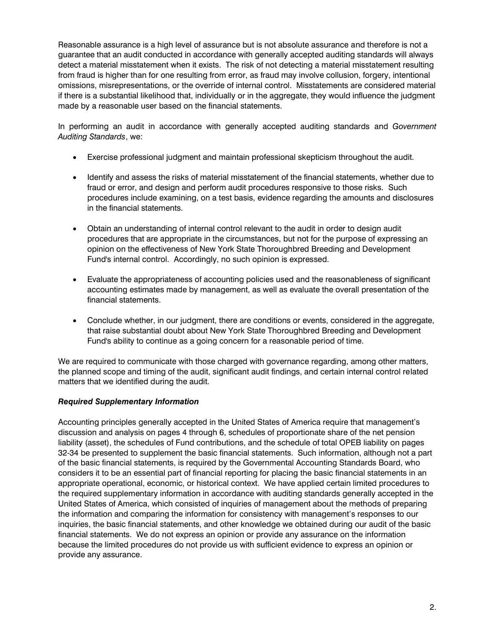Reasonable assurance is a high level of assurance but is not absolute assurance and therefore is not a guarantee that an audit conducted in accordance with generally accepted auditing standards will always detect a material misstatement when it exists. The risk of not detecting a material misstatement resulting from fraud is higher than for one resulting from error, as fraud may involve collusion, forgery, intentional omissions, misrepresentations, or the override of internal control. Misstatements are considered material if there is a substantial likelihood that, individually or in the aggregate, they would influence the judgment made by a reasonable user based on the financial statements.

In performing an audit in accordance with generally accepted auditing standards and *Government Auditing Standards*, we:

- Exercise professional judgment and maintain professional skepticism throughout the audit.
- Identify and assess the risks of material misstatement of the financial statements, whether due to fraud or error, and design and perform audit procedures responsive to those risks. Such procedures include examining, on a test basis, evidence regarding the amounts and disclosures in the financial statements.
- Obtain an understanding of internal control relevant to the audit in order to design audit procedures that are appropriate in the circumstances, but not for the purpose of expressing an opinion on the effectiveness of New York State Thoroughbred Breeding and Development Fund's internal control. Accordingly, no such opinion is expressed.
- Evaluate the appropriateness of accounting policies used and the reasonableness of significant accounting estimates made by management, as well as evaluate the overall presentation of the financial statements.
- Conclude whether, in our judgment, there are conditions or events, considered in the aggregate, that raise substantial doubt about New York State Thoroughbred Breeding and Development Fund's ability to continue as a going concern for a reasonable period of time.

We are required to communicate with those charged with governance regarding, among other matters, the planned scope and timing of the audit, significant audit findings, and certain internal control related matters that we identified during the audit.

## *Required Supplementary Information*

Accounting principles generally accepted in the United States of America require that management's discussion and analysis on pages 4 through 6, schedules of proportionate share of the net pension liability (asset), the schedules of Fund contributions, and the schedule of total OPEB liability on pages 32-34 be presented to supplement the basic financial statements. Such information, although not a part of the basic financial statements, is required by the Governmental Accounting Standards Board, who considers it to be an essential part of financial reporting for placing the basic financial statements in an appropriate operational, economic, or historical context. We have applied certain limited procedures to the required supplementary information in accordance with auditing standards generally accepted in the United States of America, which consisted of inquiries of management about the methods of preparing the information and comparing the information for consistency with management's responses to our inquiries, the basic financial statements, and other knowledge we obtained during our audit of the basic financial statements. We do not express an opinion or provide any assurance on the information because the limited procedures do not provide us with sufficient evidence to express an opinion or provide any assurance.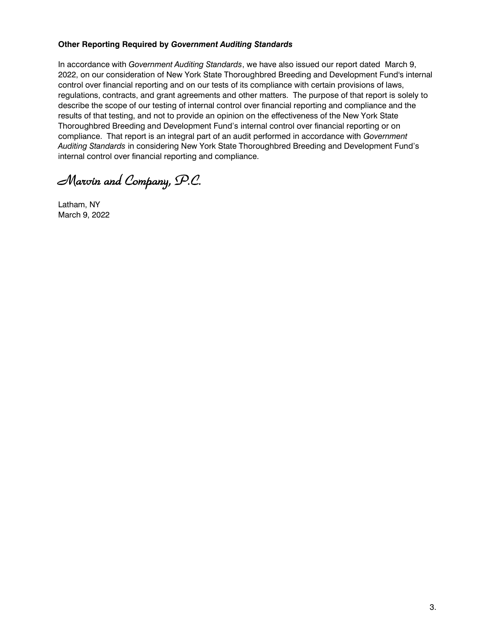#### **Other Reporting Required by** *Government Auditing Standards*

In accordance with *Government Auditing Standards*, we have also issued our report dated March 9, 2022, on our consideration of New York State Thoroughbred Breeding and Development Fund's internal control over financial reporting and on our tests of its compliance with certain provisions of laws, regulations, contracts, and grant agreements and other matters. The purpose of that report is solely to describe the scope of our testing of internal control over financial reporting and compliance and the results of that testing, and not to provide an opinion on the effectiveness of the New York State Thoroughbred Breeding and Development Fund's internal control over financial reporting or on compliance. That report is an integral part of an audit performed in accordance with *Government Auditing Standards* in considering New York State Thoroughbred Breeding and Development Fund's internal control over financial reporting and compliance.

*Marvin and Company, P.C.* 

Latham, NY March 9, 2022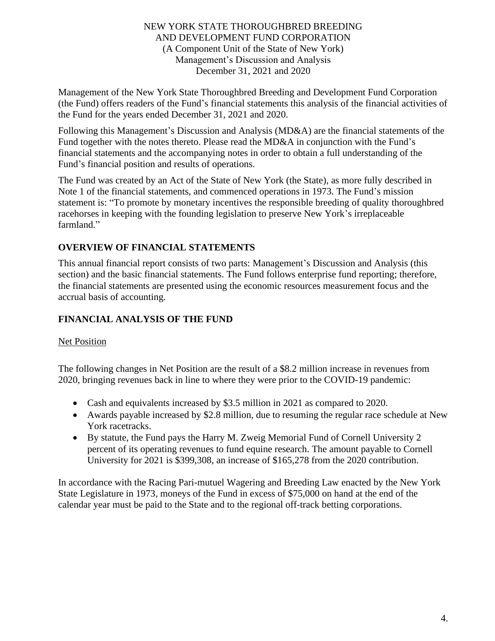# NEW YORK STATE THOROUGHBRED BREEDING AND DEVELOPMENT FUND CORPORATION (A Component Unit of the State of New York) Management's Discussion and Analysis December 31, 2021 and 2020

Management of the New York State Thoroughbred Breeding and Development Fund Corporation (the Fund) offers readers of the Fund's financial statements this analysis of the financial activities of the Fund for the years ended December 31, 2021 and 2020.

Following this Management's Discussion and Analysis (MD&A) are the financial statements of the Fund together with the notes thereto. Please read the MD&A in conjunction with the Fund's financial statements and the accompanying notes in order to obtain a full understanding of the Fund's financial position and results of operations.

The Fund was created by an Act of the State of New York (the State), as more fully described in Note 1 of the financial statements, and commenced operations in 1973. The Fund's mission statement is: "To promote by monetary incentives the responsible breeding of quality thoroughbred racehorses in keeping with the founding legislation to preserve New York's irreplaceable farmland."

# **OVERVIEW OF FINANCIAL STATEMENTS**

This annual financial report consists of two parts: Management's Discussion and Analysis (this section) and the basic financial statements. The Fund follows enterprise fund reporting; therefore, the financial statements are presented using the economic resources measurement focus and the accrual basis of accounting.

# **FINANCIAL ANALYSIS OF THE FUND**

# **Net Position**

The following changes in Net Position are the result of a \$8.2 million increase in revenues from 2020, bringing revenues back in line to where they were prior to the COVID-19 pandemic:

- Cash and equivalents increased by \$3.5 million in 2021 as compared to 2020.
- Awards payable increased by \$2.8 million, due to resuming the regular race schedule at New York racetracks.
- By statute, the Fund pays the Harry M. Zweig Memorial Fund of Cornell University 2 percent of its operating revenues to fund equine research. The amount payable to Cornell University for 2021 is \$399,308, an increase of \$165,278 from the 2020 contribution.

In accordance with the Racing Pari-mutuel Wagering and Breeding Law enacted by the New York State Legislature in 1973, moneys of the Fund in excess of \$75,000 on hand at the end of the calendar year must be paid to the State and to the regional off-track betting corporations.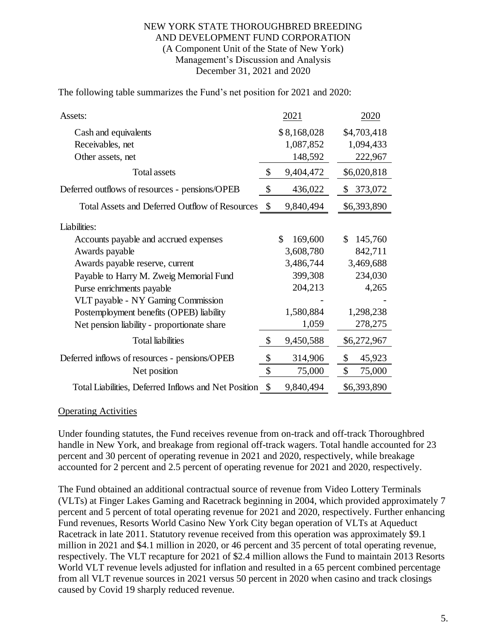## NEW YORK STATE THOROUGHBRED BREEDING AND DEVELOPMENT FUND CORPORATION (A Component Unit of the State of New York) Management's Discussion and Analysis December 31, 2021 and 2020

The following table summarizes the Fund's net position for 2021 and 2020:

| Assets:                                              |                           | 2021          | 2020          |
|------------------------------------------------------|---------------------------|---------------|---------------|
| Cash and equivalents                                 |                           | \$8,168,028   | \$4,703,418   |
| Receivables, net                                     |                           | 1,087,852     | 1,094,433     |
| Other assets, net                                    |                           | 148,592       | 222,967       |
| Total assets                                         | \$                        | 9,404,472     | \$6,020,818   |
| Deferred outflows of resources - pensions/OPEB       | \$                        | 436,022       | 373,072<br>S. |
| Total Assets and Deferred Outflow of Resources       | $\boldsymbol{\mathsf{S}}$ | 9,840,494     | \$6,393,890   |
| Liabilities:                                         |                           |               |               |
| Accounts payable and accrued expenses                |                           | \$<br>169,600 | 145,760<br>\$ |
| Awards payable                                       |                           | 3,608,780     | 842,711       |
| Awards payable reserve, current                      |                           | 3,486,744     | 3,469,688     |
| Payable to Harry M. Zweig Memorial Fund              |                           | 399,308       | 234,030       |
| Purse enrichments payable                            |                           | 204,213       | 4,265         |
| VLT payable - NY Gaming Commission                   |                           |               |               |
| Postemployment benefits (OPEB) liability             |                           | 1,580,884     | 1,298,238     |
| Net pension liability - proportionate share          |                           | 1,059         | 278,275       |
| <b>Total liabilities</b>                             | \$                        | 9,450,588     | \$6,272,967   |
| Deferred inflows of resources - pensions/OPEB        | \$                        | 314,906       | \$<br>45,923  |
| Net position                                         | \$                        | 75,000        | \$<br>75,000  |
| Total Liabilities, Deferred Inflows and Net Position | \$                        | 9,840,494     | \$6,393,890   |

## Operating Activities

Under founding statutes, the Fund receives revenue from on-track and off-track Thoroughbred handle in New York, and breakage from regional off-track wagers. Total handle accounted for 23 percent and 30 percent of operating revenue in 2021 and 2020, respectively, while breakage accounted for 2 percent and 2.5 percent of operating revenue for 2021 and 2020, respectively.

The Fund obtained an additional contractual source of revenue from Video Lottery Terminals (VLTs) at Finger Lakes Gaming and Racetrack beginning in 2004, which provided approximately 7 percent and 5 percent of total operating revenue for 2021 and 2020, respectively. Further enhancing Fund revenues, Resorts World Casino New York City began operation of VLTs at Aqueduct Racetrack in late 2011. Statutory revenue received from this operation was approximately \$9.1 million in 2021 and \$4.1 million in 2020, or 46 percent and 35 percent of total operating revenue, respectively. The VLT recapture for 2021 of \$2.4 million allows the Fund to maintain 2013 Resorts World VLT revenue levels adjusted for inflation and resulted in a 65 percent combined percentage from all VLT revenue sources in 2021 versus 50 percent in 2020 when casino and track closings caused by Covid 19 sharply reduced revenue.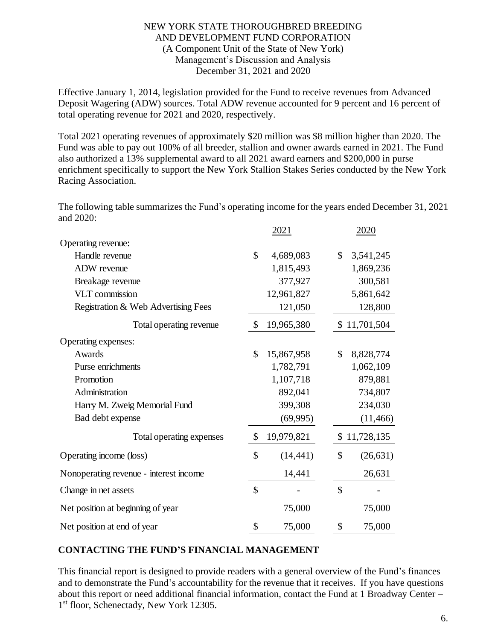## NEW YORK STATE THOROUGHBRED BREEDING AND DEVELOPMENT FUND CORPORATION (A Component Unit of the State of New York) Management's Discussion and Analysis December 31, 2021 and 2020

Effective January 1, 2014, legislation provided for the Fund to receive revenues from Advanced Deposit Wagering (ADW) sources. Total ADW revenue accounted for 9 percent and 16 percent of total operating revenue for 2021 and 2020, respectively.

Total 2021 operating revenues of approximately \$20 million was \$8 million higher than 2020. The Fund was able to pay out 100% of all breeder, stallion and owner awards earned in 2021. The Fund also authorized a 13% supplemental award to all 2021 award earners and \$200,000 in purse enrichment specifically to support the New York Stallion Stakes Series conducted by the New York Racing Association.

The following table summarizes the Fund's operating income for the years ended December 31, 2021 and 2020:

|                                        | 2021             | 2020         |              |  |
|----------------------------------------|------------------|--------------|--------------|--|
| Operating revenue:                     |                  |              |              |  |
| Handle revenue                         | \$<br>4,689,083  | $\mathbb{S}$ | 3,541,245    |  |
| ADW revenue                            | 1,815,493        |              | 1,869,236    |  |
| Breakage revenue                       | 377,927          |              | 300,581      |  |
| <b>VLT</b> commission                  | 12,961,827       |              | 5,861,642    |  |
| Registration & Web Advertising Fees    | 121,050          |              | 128,800      |  |
| Total operating revenue                | \$<br>19,965,380 |              | \$11,701,504 |  |
| Operating expenses:                    |                  |              |              |  |
| Awards                                 | \$<br>15,867,958 | \$           | 8,828,774    |  |
| Purse enrichments                      | 1,782,791        |              | 1,062,109    |  |
| Promotion                              | 1,107,718        |              | 879,881      |  |
| Administration                         | 892,041          |              | 734,807      |  |
| Harry M. Zweig Memorial Fund           | 399,308          |              | 234,030      |  |
| Bad debt expense                       | (69, 995)        |              | (11, 466)    |  |
| Total operating expenses               | \$<br>19,979,821 |              | \$11,728,135 |  |
| Operating income (loss)                | \$<br>(14, 441)  | \$           | (26, 631)    |  |
| Nonoperating revenue - interest income | 14,441           |              | 26,631       |  |
| Change in net assets                   | \$               | \$           |              |  |
| Net position at beginning of year      | 75,000           |              | 75,000       |  |
| Net position at end of year            | \$<br>75,000     | \$           | 75,000       |  |

# **CONTACTING THE FUND'S FINANCIAL MANAGEMENT**

This financial report is designed to provide readers with a general overview of the Fund's finances and to demonstrate the Fund's accountability for the revenue that it receives. If you have questions about this report or need additional financial information, contact the Fund at 1 Broadway Center – 1 st floor, Schenectady, New York 12305.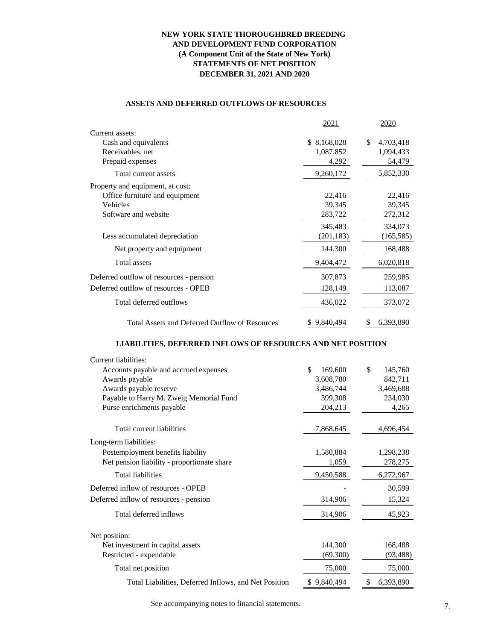#### **NEW YORK STATE THOROUGHBRED BREEDING AND DEVELOPMENT FUND CORPORATION (A Component Unit of the State of New York) STATEMENTS OF NET POSITION DECEMBER 31, 2021 AND 2020**

#### **ASSETS AND DEFERRED OUTFLOWS OF RESOURCES**

|                                                       | 2021            | 2020            |
|-------------------------------------------------------|-----------------|-----------------|
| Current assets:                                       |                 |                 |
| Cash and equivalents                                  | \$ 8,168,028    | 4,703,418<br>S  |
| Receivables, net                                      | 1,087,852       | 1,094,433       |
| Prepaid expenses                                      | 4,292           | 54,479          |
| Total current assets                                  | 9,260,172       | 5,852,330       |
| Property and equipment, at cost:                      |                 |                 |
| Office furniture and equipment                        | 22,416          | 22,416          |
| Vehicles                                              | 39,345          | 39,345          |
| Software and website                                  | 283,722         | 272,312         |
|                                                       | 345,483         | 334,073         |
| Less accumulated depreciation                         | (201, 183)      | (165, 585)      |
| Net property and equipment                            | 144,300         | 168,488         |
| <b>Total assets</b>                                   | 9,404,472       | 6,020,818       |
| Deferred outflow of resources - pension               | 307,873         | 259,985         |
| Deferred outflow of resources - OPEB                  | 128,149         | 113,087         |
| Total deferred outflows                               | 436,022         | 373,072         |
| <b>Total Assets and Deferred Outflow of Resources</b> | 9,840,494<br>S. | \$<br>6,393,890 |

#### **LIABILITIES, DEFERRED INFLOWS OF RESOURCES AND NET POSITION**

| Current liabilities:                                  |               |                 |
|-------------------------------------------------------|---------------|-----------------|
| Accounts payable and accrued expenses                 | \$<br>169,600 | \$<br>145,760   |
| Awards payable                                        | 3,608,780     | 842,711         |
| Awards payable reserve                                | 3,486,744     | 3,469,688       |
| Payable to Harry M. Zweig Memorial Fund               | 399,308       | 234,030         |
| Purse enrichments payable                             | 204,213       | 4,265           |
| Total current liabilities                             | 7,868,645     | 4,696,454       |
| Long-term liabilities:                                |               |                 |
| Postemployment benefits liability                     | 1,580,884     | 1,298,238       |
| Net pension liability - proportionate share           | 1,059         | 278,275         |
| <b>Total liabilities</b>                              | 9,450,588     | 6,272,967       |
| Deferred inflow of resources - OPEB                   |               | 30,599          |
| Deferred inflow of resources - pension                | 314,906       | 15,324          |
| Total deferred inflows                                | 314,906       | 45,923          |
| Net position:                                         |               |                 |
| Net investment in capital assets                      | 144,300       | 168,488         |
| Restricted - expendable                               | (69,300)      | (93, 488)       |
| Total net position                                    | 75,000        | 75,000          |
| Total Liabilities, Deferred Inflows, and Net Position | \$9,840,494   | \$<br>6,393,890 |

See accompanying notes to financial statements.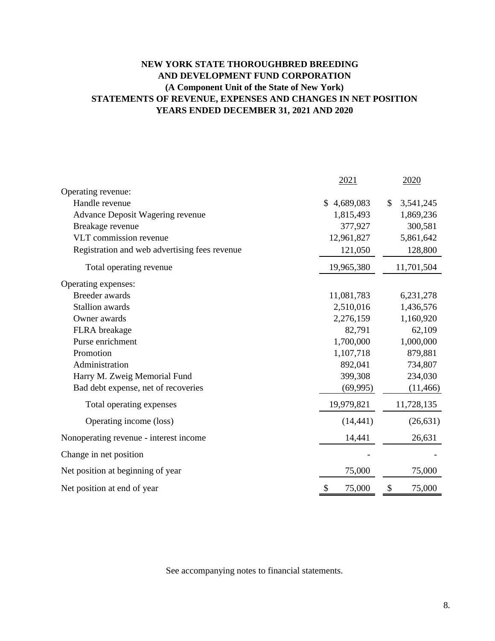# **NEW YORK STATE THOROUGHBRED BREEDING AND DEVELOPMENT FUND CORPORATION (A Component Unit of the State of New York) STATEMENTS OF REVENUE, EXPENSES AND CHANGES IN NET POSITION YEARS ENDED DECEMBER 31, 2021 AND 2020**

|                                               | 2021                                | 2020            |
|-----------------------------------------------|-------------------------------------|-----------------|
| Operating revenue:                            |                                     |                 |
| Handle revenue                                | $\mathbb{S}$<br>4,689,083           | \$<br>3,541,245 |
| <b>Advance Deposit Wagering revenue</b>       | 1,815,493                           | 1,869,236       |
| Breakage revenue                              | 377,927                             | 300,581         |
| VLT commission revenue                        | 12,961,827                          | 5,861,642       |
| Registration and web advertising fees revenue | 121,050                             | 128,800         |
| Total operating revenue                       | 19,965,380                          | 11,701,504      |
| Operating expenses:                           |                                     |                 |
| <b>Breeder</b> awards                         | 11,081,783                          | 6,231,278       |
| <b>Stallion</b> awards                        | 2,510,016                           | 1,436,576       |
| Owner awards                                  | 2,276,159                           | 1,160,920       |
| FLRA breakage                                 | 82,791                              | 62,109          |
| Purse enrichment                              | 1,700,000                           | 1,000,000       |
| Promotion                                     | 1,107,718                           | 879,881         |
| Administration                                | 892,041                             | 734,807         |
| Harry M. Zweig Memorial Fund                  | 399,308                             | 234,030         |
| Bad debt expense, net of recoveries           | (69, 995)                           | (11, 466)       |
| Total operating expenses                      | 19,979,821                          | 11,728,135      |
| Operating income (loss)                       | (14, 441)                           | (26, 631)       |
| Nonoperating revenue - interest income        | 14,441                              | 26,631          |
| Change in net position                        |                                     |                 |
| Net position at beginning of year             | 75,000                              | 75,000          |
| Net position at end of year                   | 75,000<br>$\boldsymbol{\mathsf{S}}$ | 75,000<br>\$    |

See accompanying notes to financial statements.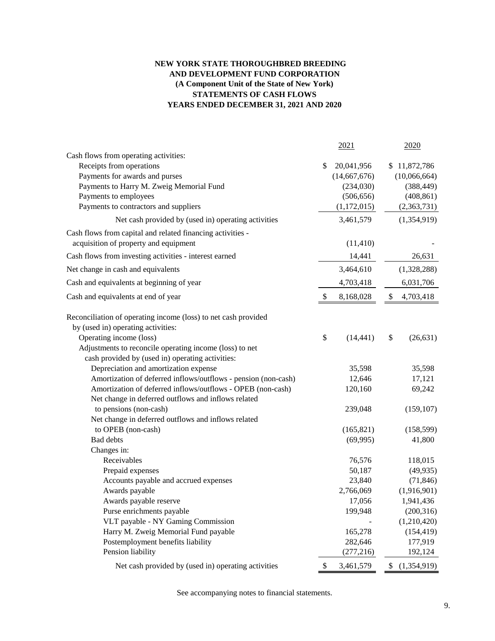#### **NEW YORK STATE THOROUGHBRED BREEDING AND DEVELOPMENT FUND CORPORATION (A Component Unit of the State of New York) STATEMENTS OF CASH FLOWS YEARS ENDED DECEMBER 31, 2021 AND 2020**

|                                                                | 2021             | 2020                 |
|----------------------------------------------------------------|------------------|----------------------|
| Cash flows from operating activities:                          |                  |                      |
| Receipts from operations                                       | \$<br>20,041,956 | \$11,872,786         |
| Payments for awards and purses                                 | (14,667,676)     | (10,066,664)         |
| Payments to Harry M. Zweig Memorial Fund                       | (234,030)        | (388, 449)           |
| Payments to employees                                          | (506, 656)       | (408, 861)           |
| Payments to contractors and suppliers                          | (1,172,015)      | (2,363,731)          |
| Net cash provided by (used in) operating activities            | 3,461,579        | (1,354,919)          |
| Cash flows from capital and related financing activities -     |                  |                      |
| acquisition of property and equipment                          | (11, 410)        |                      |
| Cash flows from investing activities - interest earned         | 14,441           | 26,631               |
| Net change in cash and equivalents                             | 3,464,610        | (1,328,288)          |
| Cash and equivalents at beginning of year                      | 4,703,418        | 6,031,706            |
| Cash and equivalents at end of year                            | \$<br>8,168,028  | \$<br>4,703,418      |
| Reconciliation of operating income (loss) to net cash provided |                  |                      |
| by (used in) operating activities:                             |                  |                      |
| Operating income (loss)                                        | \$<br>(14, 441)  | \$<br>(26, 631)      |
| Adjustments to reconcile operating income (loss) to net        |                  |                      |
| cash provided by (used in) operating activities:               |                  |                      |
| Depreciation and amortization expense                          | 35,598           | 35,598               |
| Amortization of deferred inflows/outflows - pension (non-cash) | 12,646           | 17,121               |
| Amortization of deferred inflows/outflows - OPEB (non-cash)    | 120,160          | 69,242               |
| Net change in deferred outflows and inflows related            |                  |                      |
| to pensions (non-cash)                                         | 239,048          | (159, 107)           |
| Net change in deferred outflows and inflows related            |                  |                      |
| to OPEB (non-cash)                                             | (165, 821)       | (158, 599)           |
| <b>Bad debts</b>                                               | (69,995)         | 41,800               |
| Changes in:                                                    |                  |                      |
| Receivables<br>Prepaid expenses                                | 76,576<br>50,187 | 118,015<br>(49, 935) |
| Accounts payable and accrued expenses                          | 23,840           | (71, 846)            |
| Awards payable                                                 | 2,766,069        | (1,916,901)          |
| Awards payable reserve                                         | 17,056           | 1,941,436            |
| Purse enrichments payable                                      | 199,948          | (200, 316)           |
| VLT payable - NY Gaming Commission                             |                  | (1,210,420)          |
| Harry M. Zweig Memorial Fund payable                           | 165,278          | (154, 419)           |
| Postemployment benefits liability                              | 282,646          | 177,919              |
| Pension liability                                              | (277, 216)       | 192,124              |
| Net cash provided by (used in) operating activities            | \$<br>3,461,579  | \$<br>(1,354,919)    |

See accompanying notes to financial statements.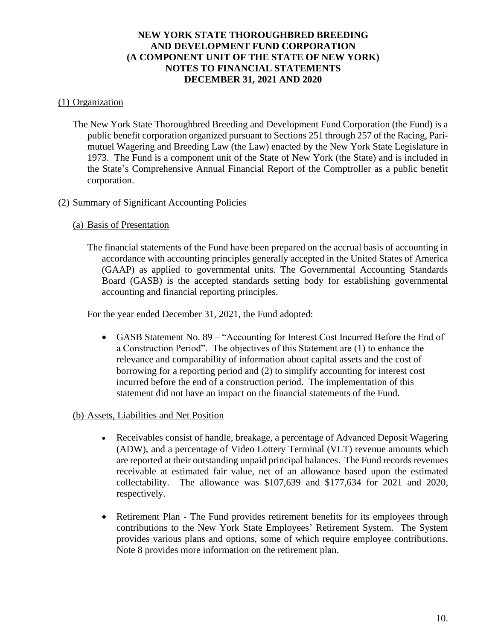## (1) Organization

The New York State Thoroughbred Breeding and Development Fund Corporation (the Fund) is a public benefit corporation organized pursuant to Sections 251 through 257 of the Racing, Parimutuel Wagering and Breeding Law (the Law) enacted by the New York State Legislature in 1973. The Fund is a component unit of the State of New York (the State) and is included in the State's Comprehensive Annual Financial Report of the Comptroller as a public benefit corporation.

## (2) Summary of Significant Accounting Policies

## (a) Basis of Presentation

The financial statements of the Fund have been prepared on the accrual basis of accounting in accordance with accounting principles generally accepted in the United States of America (GAAP) as applied to governmental units. The Governmental Accounting Standards Board (GASB) is the accepted standards setting body for establishing governmental accounting and financial reporting principles.

For the year ended December 31, 2021, the Fund adopted:

• GASB Statement No. 89 – "Accounting for Interest Cost Incurred Before the End of a Construction Period". The objectives of this Statement are (1) to enhance the relevance and comparability of information about capital assets and the cost of borrowing for a reporting period and (2) to simplify accounting for interest cost incurred before the end of a construction period. The implementation of this statement did not have an impact on the financial statements of the Fund.

## (b) Assets, Liabilities and Net Position

- Receivables consist of handle, breakage, a percentage of Advanced Deposit Wagering (ADW), and a percentage of Video Lottery Terminal (VLT) revenue amounts which are reported at their outstanding unpaid principal balances. The Fund records revenues receivable at estimated fair value, net of an allowance based upon the estimated collectability. The allowance was \$107,639 and \$177,634 for 2021 and 2020, respectively.
- Retirement Plan The Fund provides retirement benefits for its employees through contributions to the New York State Employees' Retirement System. The System provides various plans and options, some of which require employee contributions. Note 8 provides more information on the retirement plan.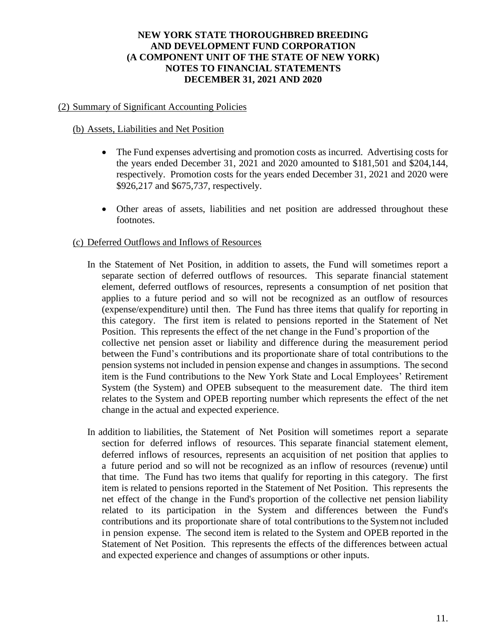# (2) Summary of Significant Accounting Policies

## (b) Assets, Liabilities and Net Position

- The Fund expenses advertising and promotion costs as incurred. Advertising costs for the years ended December 31, 2021 and 2020 amounted to \$181,501 and \$204,144, respectively. Promotion costs for the years ended December 31, 2021 and 2020 were \$926,217 and \$675,737, respectively.
- Other areas of assets, liabilities and net position are addressed throughout these footnotes.

## (c) Deferred Outflows and Inflows of Resources

- In the Statement of Net Position, in addition to assets, the Fund will sometimes report a separate section of deferred outflows of resources. This separate financial statement element, deferred outflows of resources, represents a consumption of net position that applies to a future period and so will not be recognized as an outflow of resources (expense/expenditure) until then. The Fund has three items that qualify for reporting in this category. The first item is related to pensions reported in the Statement of Net Position. This represents the effect of the net change in the Fund's proportion of the collective net pension asset or liability and difference during the measurement period between the Fund's contributions and its proportionate share of total contributions to the pension systems not included in pension expense and changes in assumptions. The second item is the Fund contributions to the New York State and Local Employees' Retirement System (the System) and OPEB subsequent to the measurement date. The third item relates to the System and OPEB reporting number which represents the effect of the net change in the actual and expected experience.
- In addition to liabilities, the Statement of Net Position will sometimes report a separate section for deferred inflows of resources. This separate financial statement element, deferred inflows of resources, represents an acquisition of net position that applies to a future period and so will not be recognized as an inflow of resources (revenue) until that time. The Fund has two items that qualify for reporting in this category. The first item is related to pensions reported in the Statement of Net Position. This represents the net effect of the change in the Fund's proportion of the collective net pension liability related to its participation in the System and differences between the Fund's contributions and its proportionate share of total contributions to the Systemnot included in pension expense. The second item is related to the System and OPEB reported in the Statement of Net Position. This represents the effects of the differences between actual and expected experience and changes of assumptions or other inputs.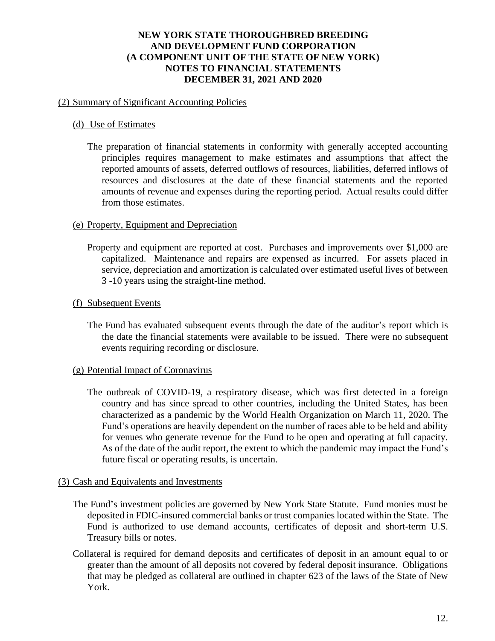## (2) Summary of Significant Accounting Policies

## (d) Use of Estimates

The preparation of financial statements in conformity with generally accepted accounting principles requires management to make estimates and assumptions that affect the reported amounts of assets, deferred outflows of resources, liabilities, deferred inflows of resources and disclosures at the date of these financial statements and the reported amounts of revenue and expenses during the reporting period. Actual results could differ from those estimates.

## (e) Property, Equipment and Depreciation

Property and equipment are reported at cost. Purchases and improvements over \$1,000 are capitalized. Maintenance and repairs are expensed as incurred. For assets placed in service, depreciation and amortization is calculated over estimated useful lives of between 3 -10 years using the straight-line method.

## (f) Subsequent Events

The Fund has evaluated subsequent events through the date of the auditor's report which is the date the financial statements were available to be issued. There were no subsequent events requiring recording or disclosure.

## (g) Potential Impact of Coronavirus

The outbreak of COVID-19, a respiratory disease, which was first detected in a foreign country and has since spread to other countries, including the United States, has been characterized as a pandemic by the World Health Organization on March 11, 2020. The Fund's operations are heavily dependent on the number of races able to be held and ability for venues who generate revenue for the Fund to be open and operating at full capacity. As of the date of the audit report, the extent to which the pandemic may impact the Fund's future fiscal or operating results, is uncertain.

## (3) Cash and Equivalents and Investments

- The Fund's investment policies are governed by New York State Statute. Fund monies must be deposited in FDIC-insured commercial banks or trust companies located within the State. The Fund is authorized to use demand accounts, certificates of deposit and short-term U.S. Treasury bills or notes.
- Collateral is required for demand deposits and certificates of deposit in an amount equal to or greater than the amount of all deposits not covered by federal deposit insurance. Obligations that may be pledged as collateral are outlined in chapter 623 of the laws of the State of New York.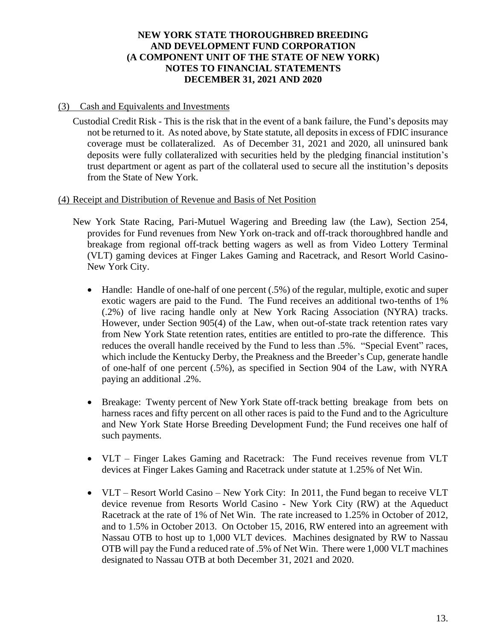## (3) Cash and Equivalents and Investments

Custodial Credit Risk - This is the risk that in the event of a bank failure, the Fund's deposits may not be returned to it. As noted above, by State statute, all deposits in excess of FDIC insurance coverage must be collateralized. As of December 31, 2021 and 2020, all uninsured bank deposits were fully collateralized with securities held by the pledging financial institution's trust department or agent as part of the collateral used to secure all the institution's deposits from the State of New York.

## (4) Receipt and Distribution of Revenue and Basis of Net Position

- New York State Racing, Pari-Mutuel Wagering and Breeding law (the Law), Section 254, provides for Fund revenues from New York on-track and off-track thoroughbred handle and breakage from regional off-track betting wagers as well as from Video Lottery Terminal (VLT) gaming devices at Finger Lakes Gaming and Racetrack, and Resort World Casino-New York City.
	- Handle: Handle of one-half of one percent (.5%) of the regular, multiple, exotic and super exotic wagers are paid to the Fund. The Fund receives an additional two-tenths of 1% (.2%) of live racing handle only at New York Racing Association (NYRA) tracks. However, under Section 905(4) of the Law, when out-of-state track retention rates vary from New York State retention rates, entities are entitled to pro-rate the difference. This reduces the overall handle received by the Fund to less than .5%. "Special Event" races, which include the Kentucky Derby, the Preakness and the Breeder's Cup, generate handle of one-half of one percent (.5%), as specified in Section 904 of the Law, with NYRA paying an additional .2%.
	- Breakage: Twenty percent of New York State of f-track betting breakage from bets on harness races and fifty percent on all other races is paid to the Fund and to the Agriculture and New York State Horse Breeding Development Fund; the Fund receives one half of such payments.
	- VLT Finger Lakes Gaming and Racetrack: The Fund receives revenue from VLT devices at Finger Lakes Gaming and Racetrack under statute at 1.25% of Net Win.
	- VLT Resort World Casino New York City: In 2011, the Fund began to receive VLT device revenue from Resorts World Casino - New York City (RW) at the Aqueduct Racetrack at the rate of 1% of Net Win. The rate increased to 1.25% in October of 2012, and to 1.5% in October 2013. On October 15, 2016, RW entered into an agreement with Nassau OTB to host up to 1,000 VLT devices. Machines designated by RW to Nassau OTB will pay the Fund a reduced rate of .5% of Net Win. There were 1,000 VLT machines designated to Nassau OTB at both December 31, 2021 and 2020.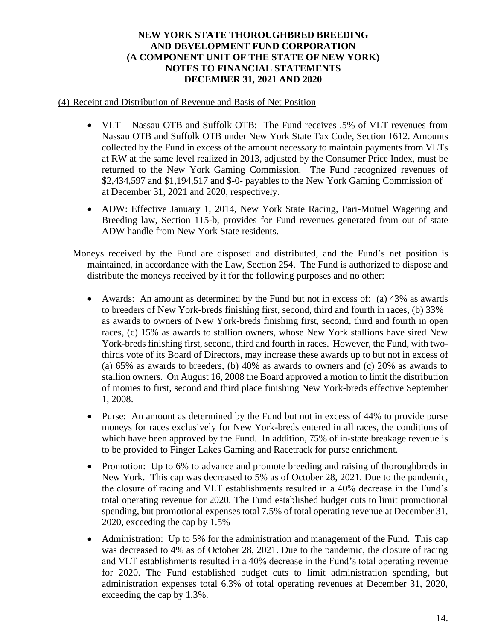## (4) Receipt and Distribution of Revenue and Basis of Net Position

- VLT Nassau OTB and Suffolk OTB: The Fund receives .5% of VLT revenues from Nassau OTB and Suffolk OTB under New York State Tax Code, Section 1612. Amounts collected by the Fund in excess of the amount necessary to maintain payments from VLTs at RW at the same level realized in 2013, adjusted by the Consumer Price Index, must be returned to the New York Gaming Commission. The Fund recognized revenues of \$2,434,597 and \$1,194,517 and \$-0- payables to the New York Gaming Commission of at December 31, 2021 and 2020, respectively.
- ADW: Effective January 1, 2014, New York State Racing, Pari-Mutuel Wagering and Breeding law, Section 115-b, provides for Fund revenues generated from out of state ADW handle from New York State residents.
- Moneys received by the Fund are disposed and distributed, and the Fund's net position is maintained, in accordance with the Law, Section 254. The Fund is authorized to dispose and distribute the moneys received by it for the following purposes and no other:
	- Awards: An amount as determined by the Fund but not in excess of: (a) 43% as awards to breeders of New York-breds finishing first, second, third and fourth in races, (b) 33% as awards to owners of New York-breds finishing first, second, third and fourth in open races, (c) 15% as awards to stallion owners, whose New York stallions have sired New York-breds finishing first, second, third and fourth in races. However, the Fund, with twothirds vote of its Board of Directors, may increase these awards up to but not in excess of (a) 65% as awards to breeders, (b) 40% as awards to owners and (c) 20% as awards to stallion owners. On August 16, 2008 the Board approved a motion to limit the distribution of monies to first, second and third place finishing New York-breds effective September 1, 2008.
	- Purse: An amount as determined by the Fund but not in excess of 44% to provide purse moneys for races exclusively for New York-breds entered in all races, the conditions of which have been approved by the Fund. In addition, 75% of in-state breakage revenue is to be provided to Finger Lakes Gaming and Racetrack for purse enrichment.
	- Promotion: Up to 6% to advance and promote breeding and raising of thoroughbreds in New York. This cap was decreased to 5% as of October 28, 2021. Due to the pandemic, the closure of racing and VLT establishments resulted in a 40% decrease in the Fund's total operating revenue for 2020. The Fund established budget cuts to limit promotional spending, but promotional expenses total 7.5% of total operating revenue at December 31, 2020, exceeding the cap by 1.5%
	- Administration: Up to 5% for the administration and management of the Fund. This cap was decreased to 4% as of October 28, 2021. Due to the pandemic, the closure of racing and VLT establishments resulted in a 40% decrease in the Fund's total operating revenue for 2020. The Fund established budget cuts to limit administration spending, but administration expenses total 6.3% of total operating revenues at December 31, 2020, exceeding the cap by 1.3%.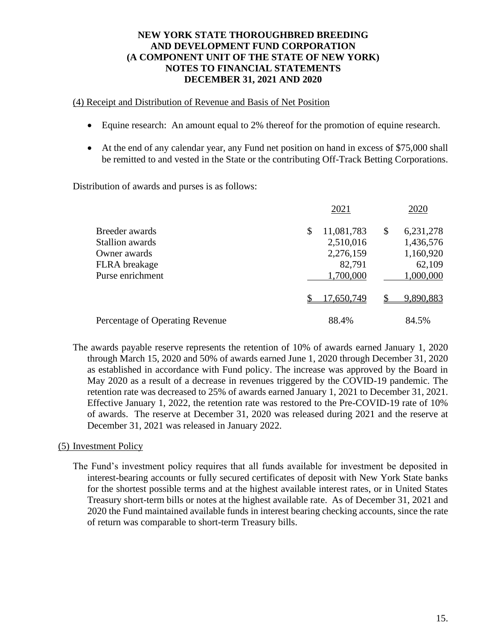## (4) Receipt and Distribution of Revenue and Basis of Net Position

- Equine research: An amount equal to 2% thereof for the promotion of equine research.
- At the end of any calendar year, any Fund net position on hand in excess of \$75,000 shall be remitted to and vested in the State or the contributing Off-Track Betting Corporations.

Distribution of awards and purses is as follows:

|                                 | 2021             | 2020            |  |  |  |
|---------------------------------|------------------|-----------------|--|--|--|
| Breeder awards                  | 11,081,783<br>\$ | 6,231,278<br>\$ |  |  |  |
| Stallion awards                 | 2,510,016        | 1,436,576       |  |  |  |
| Owner awards                    | 2,276,159        | 1,160,920       |  |  |  |
| <b>FLRA</b> breakage            | 82,791           | 62,109          |  |  |  |
| Purse enrichment                | 1,700,000        | 1,000,000       |  |  |  |
|                                 | 17,650,749       | 9,890,883       |  |  |  |
| Percentage of Operating Revenue | 88.4%            | 84.5%           |  |  |  |

The awards payable reserve represents the retention of 10% of awards earned January 1, 2020 through March 15, 2020 and 50% of awards earned June 1, 2020 through December 31, 2020 as established in accordance with Fund policy. The increase was approved by the Board in May 2020 as a result of a decrease in revenues triggered by the COVID-19 pandemic. The retention rate was decreased to 25% of awards earned January 1, 2021 to December 31, 2021. Effective January 1, 2022, the retention rate was restored to the Pre-COVID-19 rate of 10% of awards. The reserve at December 31, 2020 was released during 2021 and the reserve at December 31, 2021 was released in January 2022.

## (5) Investment Policy

The Fund's investment policy requires that all funds available for investment be deposited in interest-bearing accounts or fully secured certificates of deposit with New York State banks for the shortest possible terms and at the highest available interest rates, or in United States Treasury short-term bills or notes at the highest available rate. As of December 31, 2021 and 2020 the Fund maintained available funds in interest bearing checking accounts, since the rate of return was comparable to short-term Treasury bills.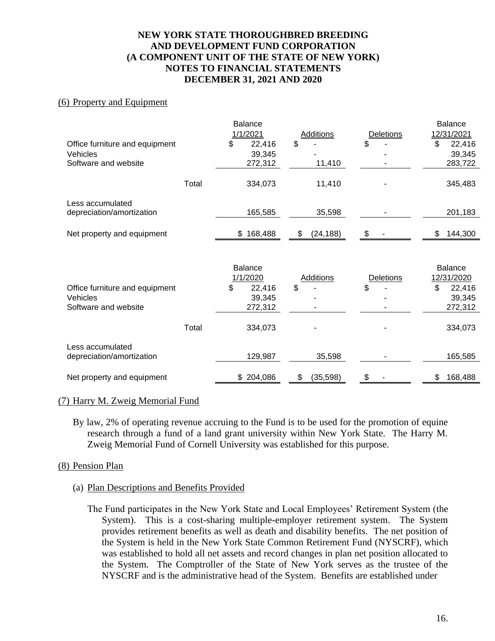#### (6) Property and Equipment

|       | <b>Balance</b> |                                 |                                     | <b>Balance</b> |
|-------|----------------|---------------------------------|-------------------------------------|----------------|
|       | 1/1/2021       | <b>Additions</b>                | Deletions                           | 12/31/2021     |
|       | \$<br>22,416   | \$                              | \$                                  | \$<br>22,416   |
|       | 39,345         |                                 |                                     | 39,345         |
|       | 272,312        | 11,410                          |                                     | 283,722        |
|       |                |                                 |                                     |                |
|       | 334,073        | 11,410                          |                                     | 345,483        |
|       |                |                                 |                                     |                |
|       |                |                                 |                                     | 201,183        |
|       |                |                                 |                                     |                |
|       | 168,488<br>\$  | \$<br>(24, 188)                 | \$                                  | 144,300<br>\$  |
|       |                |                                 |                                     |                |
|       |                |                                 |                                     |                |
|       | <b>Balance</b> |                                 |                                     | Balance        |
|       | 1/1/2020       | <b>Additions</b>                | <b>Deletions</b>                    | 12/31/2020     |
|       | \$<br>22,416   | \$                              | \$                                  | \$<br>22,416   |
|       | 39,345         |                                 |                                     | 39,345         |
|       | 272,312        |                                 |                                     | 272,312        |
|       |                |                                 |                                     |                |
| Total | 334,073        |                                 |                                     | 334,073        |
|       |                |                                 |                                     |                |
|       |                |                                 |                                     |                |
|       |                |                                 |                                     | 165,585        |
|       |                |                                 |                                     | \$<br>168,488  |
|       | Total          | 165,585<br>129,987<br>\$204,086 | 35,598<br>35,598<br>\$<br>(35, 598) | \$             |

#### (7) Harry M. Zweig Memorial Fund

By law, 2% of operating revenue accruing to the Fund is to be used for the promotion of equine research through a fund of a land grant university within New York State. The Harry M. Zweig Memorial Fund of Cornell University was established for this purpose.

## (8) Pension Plan

## (a) Plan Descriptions and Benefits Provided

The Fund participates in the New York State and Local Employees' Retirement System (the System). This is a cost-sharing multiple-employer retirement system. The System provides retirement benefits as well as death and disability benefits. The net position of the System is held in the New York State Common Retirement Fund (NYSCRF), which was established to hold all net assets and record changes in plan net position allocated to the System. The Comptroller of the State of New York serves as the trustee of the NYSCRF and is the administrative head of the System. Benefits are established under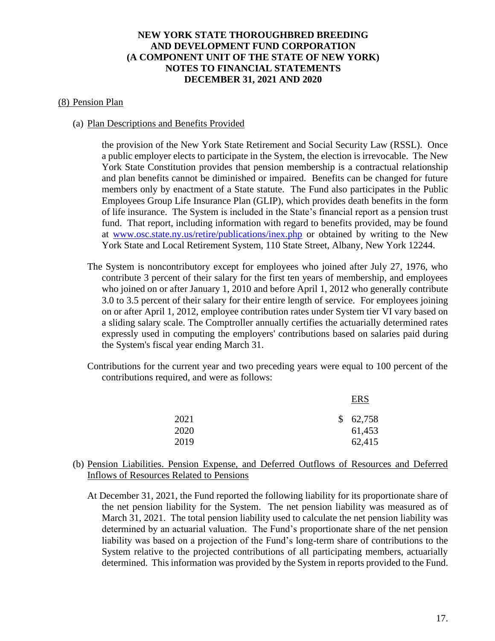#### (8) Pension Plan

#### (a) Plan Descriptions and Benefits Provided

the provision of the New York State Retirement and Social Security Law (RSSL). Once a public employer elects to participate in the System, the election is irrevocable. The New York State Constitution provides that pension membership is a contractual relationship and plan benefits cannot be diminished or impaired. Benefits can be changed for future members only by enactment of a State statute. The Fund also participates in the Public Employees Group Life Insurance Plan (GLIP), which provides death benefits in the form of life insurance. The System is included in the State's financial report as a pension trust fund. That report, including information with regard to benefits provided, may be found at [www.osc.state.ny.us/retire/publications/inex.php](http://www.osc.state.ny.us/retire/publications/inex.php) or obtained by writing to the New York State and Local Retirement System, 110 State Street, Albany, New York 12244.

- The System is noncontributory except for employees who joined after July 27, 1976, who contribute 3 percent of their salary for the first ten years of membership, and employees who joined on or after January 1, 2010 and before April 1, 2012 who generally contribute 3.0 to 3.5 percent of their salary for their entire length of service. For employees joining on or after April 1, 2012, employee contribution rates under System tier VI vary based on a sliding salary scale. The Comptroller annually certifies the actuarially determined rates expressly used in computing the employers' contributions based on salaries paid during the System's fiscal year ending March 31.
- Contributions for the current year and two preceding years were equal to 100 percent of the contributions required, and were as follows:

|      | <b>ERS</b> |
|------|------------|
| 2021 | \$62,758   |
| 2020 | 61,453     |
| 2019 | 62,415     |

## (b) Pension Liabilities. Pension Expense, and Deferred Outflows of Resources and Deferred Inflows of Resources Related to Pensions

At December 31, 2021, the Fund reported the following liability for its proportionate share of the net pension liability for the System. The net pension liability was measured as of March 31, 2021. The total pension liability used to calculate the net pension liability was determined by an actuarial valuation. The Fund's proportionate share of the net pension liability was based on a projection of the Fund's long-term share of contributions to the System relative to the projected contributions of all participating members, actuarially determined. This information was provided by the System in reports provided to the Fund.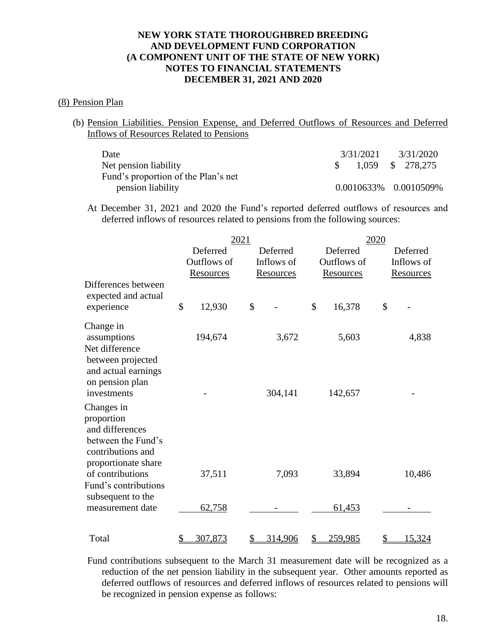## (8) Pension Plan

(b) Pension Liabilities. Pension Expense, and Deferred Outflows of Resources and Deferred Inflows of Resources Related to Pensions

| Date                                | 3/31/2021 | 3/31/2020             |
|-------------------------------------|-----------|-----------------------|
| Net pension liability               |           | 1,059 \$ 278,275      |
| Fund's proportion of the Plan's net |           |                       |
| pension liability                   |           | 0.0010633% 0.0010509% |

At December 31, 2021 and 2020 the Fund's reported deferred outflows of resources and deferred inflows of resources related to pensions from the following sources:

|                                                                                                               | 2021 |                                             |    |                                            | 2020 |                                             |                                            |               |
|---------------------------------------------------------------------------------------------------------------|------|---------------------------------------------|----|--------------------------------------------|------|---------------------------------------------|--------------------------------------------|---------------|
|                                                                                                               |      | Deferred<br>Outflows of<br><b>Resources</b> |    | Deferred<br>Inflows of<br><b>Resources</b> |      | Deferred<br>Outflows of<br><b>Resources</b> | Deferred<br>Inflows of<br><b>Resources</b> |               |
| Differences between<br>expected and actual<br>experience                                                      | \$   | 12,930                                      | \$ |                                            | \$   | 16,378                                      | \$                                         |               |
| Change in<br>assumptions<br>Net difference<br>between projected                                               |      | 194,674                                     |    | 3,672                                      |      | 5,603                                       |                                            | 4,838         |
| and actual earnings<br>on pension plan<br>investments                                                         |      |                                             |    | 304,141                                    |      | 142,657                                     |                                            |               |
| Changes in<br>proportion<br>and differences<br>between the Fund's<br>contributions and<br>proportionate share |      |                                             |    |                                            |      |                                             |                                            |               |
| of contributions<br>Fund's contributions<br>subsequent to the                                                 |      | 37,511                                      |    | 7,093                                      |      | 33,894                                      |                                            | 10,486        |
| measurement date                                                                                              |      | 62,758                                      |    |                                            |      | 61,453                                      |                                            |               |
| Total                                                                                                         | \$   | 307,873                                     | \$ | 314,906                                    | \$   | 259,985                                     | <u>\$</u>                                  | <u>15,324</u> |

Fund contributions subsequent to the March 31 measurement date will be recognized as a reduction of the net pension liability in the subsequent year. Other amounts reported as deferred outflows of resources and deferred inflows of resources related to pensions will be recognized in pension expense as follows: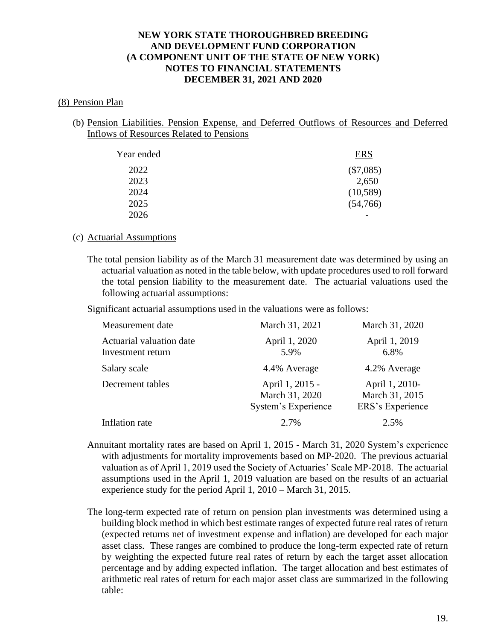#### (8) Pension Plan

(b) Pension Liabilities. Pension Expense, and Deferred Outflows of Resources and Deferred Inflows of Resources Related to Pensions

| Year ended | <b>ERS</b>  |
|------------|-------------|
| 2022       | $(\$7,085)$ |
| 2023       | 2,650       |
| 2024       | (10, 589)   |
| 2025       | (54,766)    |
| 2026       |             |

#### (c) Actuarial Assumptions

The total pension liability as of the March 31 measurement date was determined by using an actuarial valuation as noted in the table below, with update procedures used to roll forward the total pension liability to the measurement date. The actuarial valuations used the following actuarial assumptions:

Significant actuarial assumptions used in the valuations were as follows:

| Measurement date                              | March 31, 2021                                           | March 31, 2020                                       |
|-----------------------------------------------|----------------------------------------------------------|------------------------------------------------------|
| Actuarial valuation date<br>Investment return | April 1, 2020<br>5.9%                                    | April 1, 2019<br>6.8%                                |
| Salary scale                                  | 4.4% Average                                             | 4.2% Average                                         |
| Decrement tables                              | April 1, 2015 -<br>March 31, 2020<br>System's Experience | April 1, 2010-<br>March 31, 2015<br>ERS's Experience |
| Inflation rate                                | 2.7%                                                     | 2.5%                                                 |

- Annuitant mortality rates are based on April 1, 2015 March 31, 2020 System's experience with adjustments for mortality improvements based on MP-2020. The previous actuarial valuation as of April 1, 2019 used the Society of Actuaries' Scale MP-2018. The actuarial assumptions used in the April 1, 2019 valuation are based on the results of an actuarial experience study for the period April 1, 2010 – March 31, 2015.
- The long-term expected rate of return on pension plan investments was determined using a building block method in which best estimate ranges of expected future real rates of return (expected returns net of investment expense and inflation) are developed for each major asset class. These ranges are combined to produce the long-term expected rate of return by weighting the expected future real rates of return by each the target asset allocation percentage and by adding expected inflation. The target allocation and best estimates of arithmetic real rates of return for each major asset class are summarized in the following table: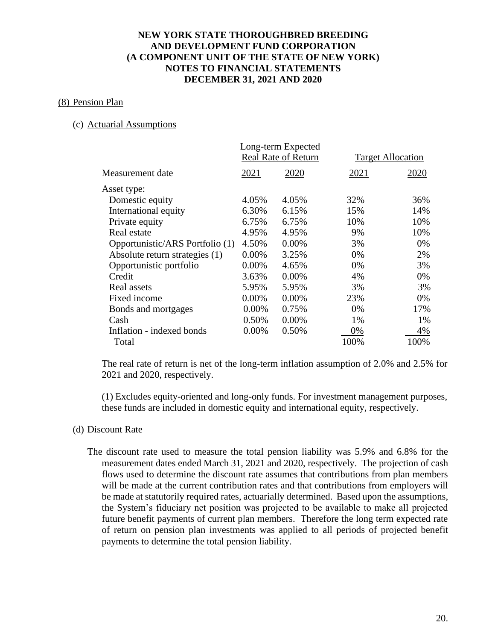#### (8) Pension Plan

## (c) Actuarial Assumptions

|                                 |       | Long-term Expected         |      |                          |
|---------------------------------|-------|----------------------------|------|--------------------------|
|                                 |       | <b>Real Rate of Return</b> |      | <b>Target Allocation</b> |
| Measurement date                | 2021  | 2020                       | 2021 | 2020                     |
| Asset type:                     |       |                            |      |                          |
| Domestic equity                 | 4.05% | 4.05%                      | 32%  | 36%                      |
| International equity            | 6.30% | 6.15%                      | 15%  | 14%                      |
| Private equity                  | 6.75% | 6.75%                      | 10%  | 10%                      |
| Real estate                     | 4.95% | 4.95%                      | 9%   | 10%                      |
| Opportunistic/ARS Portfolio (1) | 4.50% | 0.00%                      | 3%   | 0%                       |
| Absolute return strategies (1)  | 0.00% | 3.25%                      | 0%   | 2%                       |
| Opportunistic portfolio         | 0.00% | 4.65%                      | 0%   | 3%                       |
| Credit                          | 3.63% | 0.00%                      | 4%   | 0%                       |
| Real assets                     | 5.95% | 5.95%                      | 3%   | 3%                       |
| Fixed income                    | 0.00% | 0.00%                      | 23%  | 0%                       |
| Bonds and mortgages             | 0.00% | 0.75%                      | 0%   | 17%                      |
| Cash                            | 0.50% | 0.00%                      | 1%   | 1%                       |
| Inflation - indexed bonds       | 0.00% | 0.50%                      | 0%   | 4%                       |
| Total                           |       |                            | 100% | 100%                     |
|                                 |       |                            |      |                          |

The real rate of return is net of the long-term inflation assumption of 2.0% and 2.5% for 2021 and 2020, respectively.

(1) Excludes equity-oriented and long-only funds. For investment management purposes, these funds are included in domestic equity and international equity, respectively.

#### (d) Discount Rate

The discount rate used to measure the total pension liability was 5.9% and 6.8% for the measurement dates ended March 31, 2021 and 2020, respectively. The projection of cash flows used to determine the discount rate assumes that contributions from plan members will be made at the current contribution rates and that contributions from employers will be made at statutorily required rates, actuarially determined. Based upon the assumptions, the System's fiduciary net position was projected to be available to make all projected future benefit payments of current plan members. Therefore the long term expected rate of return on pension plan investments was applied to all periods of projected benefit payments to determine the total pension liability.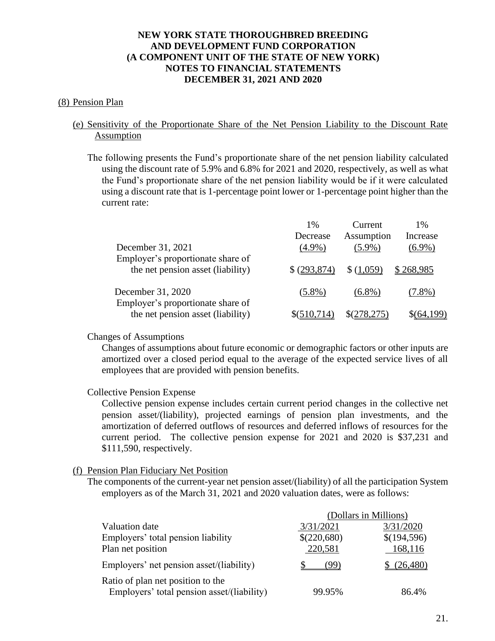#### (8) Pension Plan

## (e) Sensitivity of the Proportionate Share of the Net Pension Liability to the Discount Rate Assumption

The following presents the Fund's proportionate share of the net pension liability calculated using the discount rate of 5.9% and 6.8% for 2021 and 2020, respectively, as well as what the Fund's proportionate share of the net pension liability would be if it were calculated using a discount rate that is 1-percentage point lower or 1-percentage point higher than the current rate:

|                                                                        | $1\%$         | Current    | 1%        |
|------------------------------------------------------------------------|---------------|------------|-----------|
|                                                                        | Decrease      | Assumption | Increase  |
| December 31, 2021                                                      | $(4.9\%)$     | $(5.9\%)$  | $(6.9\%)$ |
| Employer's proportionate share of<br>the net pension asset (liability) | \$ (293, 874) | (1.059)    | \$268,985 |
| December 31, 2020<br>Employer's proportionate share of                 | $(5.8\%)$     | $(6.8\%)$  | $(7.8\%)$ |
| the net pension asset (liability)                                      |               |            |           |

#### Changes of Assumptions

Changes of assumptions about future economic or demographic factors or other inputs are amortized over a closed period equal to the average of the expected service lives of all employees that are provided with pension benefits.

## Collective Pension Expense

Collective pension expense includes certain current period changes in the collective net pension asset/(liability), projected earnings of pension plan investments, and the amortization of deferred outflows of resources and deferred inflows of resources for the current period. The collective pension expense for 2021 and 2020 is \$37,231 and \$111,590, respectively.

## (f) Pension Plan Fiduciary Net Position

The components of the current-year net pension asset/(liability) of all the participation System employers as of the March 31, 2021 and 2020 valuation dates, were as follows:

|                                                                                 |             | (Dollars in Millions) |
|---------------------------------------------------------------------------------|-------------|-----------------------|
| Valuation date                                                                  | 3/31/2021   | 3/31/2020             |
| Employers' total pension liability                                              | \$(220,680) | \$(194,596)           |
| Plan net position                                                               | 220,581     | 168,116               |
| Employers' net pension asset/(liability)                                        | (99)        | (26, 480)             |
| Ratio of plan net position to the<br>Employers' total pension asset/(liability) | 99.95%      | 86.4%                 |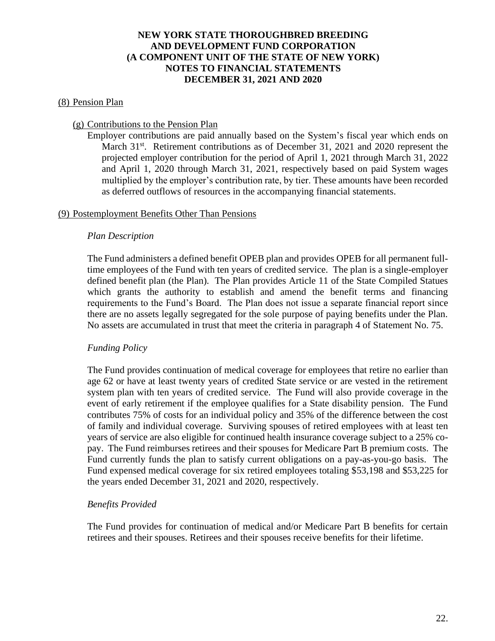#### (8) Pension Plan

#### (g) Contributions to the Pension Plan

Employer contributions are paid annually based on the System's fiscal year which ends on March 31<sup>st</sup>. Retirement contributions as of December 31, 2021 and 2020 represent the projected employer contribution for the period of April 1, 2021 through March 31, 2022 and April 1, 2020 through March 31, 2021, respectively based on paid System wages multiplied by the employer's contribution rate, by tier. These amounts have been recorded as deferred outflows of resources in the accompanying financial statements.

#### (9) Postemployment Benefits Other Than Pensions

#### *Plan Description*

The Fund administers a defined benefit OPEB plan and provides OPEB for all permanent fulltime employees of the Fund with ten years of credited service. The plan is a single-employer defined benefit plan (the Plan). The Plan provides Article 11 of the State Compiled Statues which grants the authority to establish and amend the benefit terms and financing requirements to the Fund's Board. The Plan does not issue a separate financial report since there are no assets legally segregated for the sole purpose of paying benefits under the Plan. No assets are accumulated in trust that meet the criteria in paragraph 4 of Statement No. 75.

## *Funding Policy*

The Fund provides continuation of medical coverage for employees that retire no earlier than age 62 or have at least twenty years of credited State service or are vested in the retirement system plan with ten years of credited service. The Fund will also provide coverage in the event of early retirement if the employee qualifies for a State disability pension. The Fund contributes 75% of costs for an individual policy and 35% of the difference between the cost of family and individual coverage. Surviving spouses of retired employees with at least ten years of service are also eligible for continued health insurance coverage subject to a 25% copay. The Fund reimburses retirees and their spouses for Medicare Part B premium costs. The Fund currently funds the plan to satisfy current obligations on a pay-as-you-go basis. The Fund expensed medical coverage for six retired employees totaling \$53,198 and \$53,225 for the years ended December 31, 2021 and 2020, respectively.

## *Benefits Provided*

The Fund provides for continuation of medical and/or Medicare Part B benefits for certain retirees and their spouses. Retirees and their spouses receive benefits for their lifetime.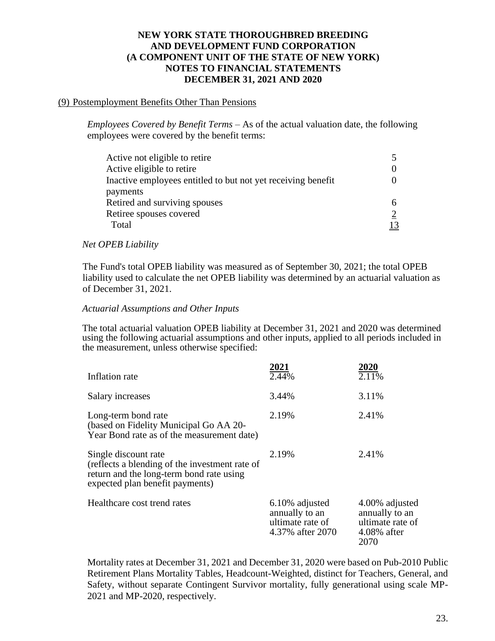## (9) Postemployment Benefits Other Than Pensions

*Employees Covered by Benefit Terms* – As of the actual valuation date, the following employees were covered by the benefit terms:

| Active not eligible to retire                                |    |
|--------------------------------------------------------------|----|
|                                                              |    |
| Active eligible to retire                                    |    |
| Inactive employees entitled to but not yet receiving benefit |    |
| payments                                                     |    |
| Retired and surviving spouses                                | 6. |
| Retiree spouses covered                                      |    |
| Total                                                        | 13 |
|                                                              |    |

## *Net OPEB Liability*

The Fund's total OPEB liability was measured as of September 30, 2021; the total OPEB liability used to calculate the net OPEB liability was determined by an actuarial valuation as of December 31, 2021.

## *Actuarial Assumptions and Other Inputs*

The total actuarial valuation OPEB liability at December 31, 2021 and 2020 was determined using the following actuarial assumptions and other inputs, applied to all periods included in the measurement, unless otherwise specified:

| Inflation rate                                                                                                                                        | 2021<br>2.44%                                                            | 2020<br>2.11%                                                                  |
|-------------------------------------------------------------------------------------------------------------------------------------------------------|--------------------------------------------------------------------------|--------------------------------------------------------------------------------|
| Salary increases                                                                                                                                      | 3.44%                                                                    | 3.11%                                                                          |
| Long-term bond rate<br>(based on Fidelity Municipal Go AA 20-<br>Year Bond rate as of the measurement date)                                           | 2.19%                                                                    | 2.41%                                                                          |
| Single discount rate<br>(reflects a blending of the investment rate of<br>return and the long-term bond rate using<br>expected plan benefit payments) | 2.19%                                                                    | 2.41%                                                                          |
| Healthcare cost trend rates                                                                                                                           | 6.10% adjusted<br>annually to an<br>ultimate rate of<br>4.37% after 2070 | 4.00% adjusted<br>annually to an<br>ultimate rate of<br>$4.08\%$ after<br>2070 |

Mortality rates at December 31, 2021 and December 31, 2020 were based on Pub-2010 Public Retirement Plans Mortality Tables, Headcount-Weighted, distinct for Teachers, General, and Safety, without separate Contingent Survivor mortality, fully generational using scale MP-2021 and MP-2020, respectively.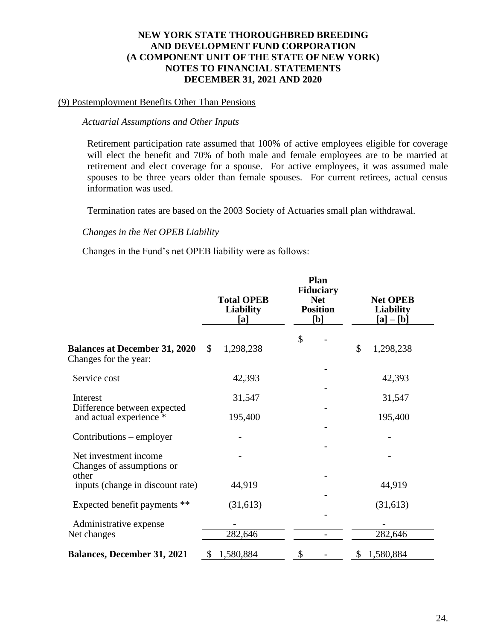#### (9) Postemployment Benefits Other Than Pensions Contributions – employer -

#### *Actuarial Assumptions and Other Inputs*  $\mathcal{L}$  is the set of  $\mathcal{L}$  in  $\mathcal{L}$  in  $\mathcal{L}$  in  $\mathcal{L}$  is the set of  $\mathcal{L}$

Retirement participation rate assumed that 100% of active employees eligible for coverage will elect the benefit and  $70\%$  of both male and female employees are to be married at retirement and elect coverage for a spouse. For active employees, it was assumed male spouses to be three years older than female spouses. For current retirees, actual census information was used. urch<br>11 1

Termination rates are based on the 2003 Society of Actuaries small plan withdrawal. examination rates are based on the 2005 Boelery or rictionities small plan withdrawal.

#### *Changes in the Net OPEB Liability*

Changes in the Fund's net OPEB liability were as follows:

|                                                               |               | <b>Total OPEB</b><br><b>Liability</b><br>[a] | Plan<br><b>Fiduciary</b><br><b>Net</b><br><b>Position</b><br>[b] | <b>Net OPEB</b><br><b>Liability</b><br>$[a] - [b]$ |
|---------------------------------------------------------------|---------------|----------------------------------------------|------------------------------------------------------------------|----------------------------------------------------|
|                                                               |               |                                              | \$                                                               |                                                    |
| <b>Balances at December 31, 2020</b><br>Changes for the year: | $\mathcal{S}$ | 1,298,238                                    |                                                                  | \$<br>1,298,238                                    |
| Service cost                                                  |               | 42,393                                       |                                                                  | 42,393                                             |
| Interest                                                      |               | 31,547                                       |                                                                  | 31,547                                             |
| Difference between expected<br>and actual experience *        |               | 195,400                                      |                                                                  | 195,400                                            |
| Contributions – employer                                      |               |                                              |                                                                  |                                                    |
| Net investment income<br>Changes of assumptions or<br>other   |               |                                              |                                                                  |                                                    |
| inputs (change in discount rate)                              |               | 44,919                                       |                                                                  | 44,919                                             |
| Expected benefit payments **                                  |               | (31,613)                                     |                                                                  | (31,613)                                           |
| Administrative expense<br>Net changes                         |               | 282,646                                      |                                                                  | 282,646                                            |
| <b>Balances, December 31, 2021</b>                            | S             | 1,580,884                                    | \$                                                               | \$<br>1,580,884                                    |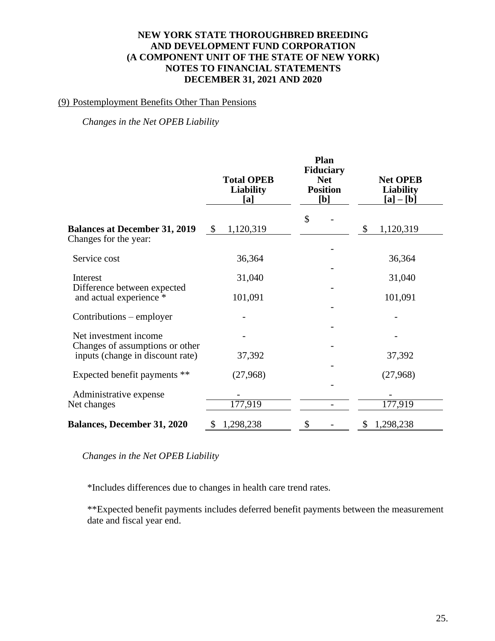#### **NEW YORK STATE THOROUGHBRED BREEDING AND DEVELOPMENT FUND CORPORATION (A COMPONENT UNIT OF THE STATE OF NEW YORK)** - NOTES TO FINANCIAL STATEMENTS **DECEMBER 31, 2021 AND 2020** NEW YORK STATE THOROUGHBRED BREEDIN  $\mathcal{L}$  and  $\mathcal{L}$  and  $\mathcal{L}$  and  $\mathcal{L}$

# (9) Postemployment Benefits Other Than Pensions

*Changes in the Net OPEB Liability* 

|                                                          | <b>Total OPEB</b><br><b>Liability</b><br>[a] | Plan<br>Fiduciary<br><b>Net</b><br><b>Position</b><br>[b] | <b>Net OPEB</b><br><b>Liability</b><br>$[a] - [b]$ |
|----------------------------------------------------------|----------------------------------------------|-----------------------------------------------------------|----------------------------------------------------|
| <b>Balances at December 31, 2019</b>                     | 1,120,319<br>$\boldsymbol{\mathsf{S}}$       | \$                                                        | 1,120,319<br>\$                                    |
| Changes for the year:                                    |                                              |                                                           |                                                    |
| Service cost                                             | 36,364                                       |                                                           | 36,364                                             |
| Interest                                                 | 31,040                                       |                                                           | 31,040                                             |
| Difference between expected<br>and actual experience *   | 101,091                                      |                                                           | 101,091                                            |
| Contributions – employer                                 |                                              |                                                           |                                                    |
| Net investment income<br>Changes of assumptions or other |                                              |                                                           |                                                    |
| inputs (change in discount rate)                         | 37,392                                       |                                                           | 37,392                                             |
| Expected benefit payments **                             | (27,968)                                     |                                                           | (27,968)                                           |
| Administrative expense                                   |                                              |                                                           |                                                    |
| Net changes                                              | 177,919                                      |                                                           | 177,919                                            |
| <b>Balances, December 31, 2020</b>                       | 1,298,238<br>\$                              | \$                                                        | 1,298,238<br>\$                                    |

*Changes in the Net OPEB Liability*

\*Includes differences due to changes in health care trend rates.

\*\*Expected benefit payments includes deferred benefit payments between the measurement date and fiscal year end.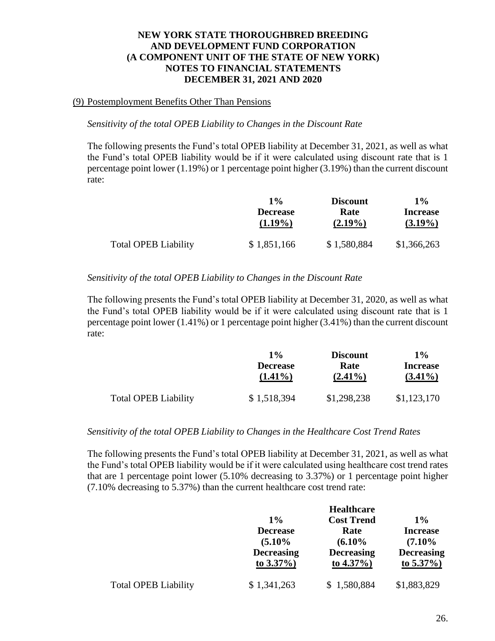## (9) Postemployment Benefits Other Than Pensions

## *Sensitivity of the total OPEB Liability to Changes in the Discount Rate*

The following presents the Fund's total OPEB liability at December 31, 2021, as well as what the Fund's total OPEB liability would be if it were calculated using discount rate that is 1 percentage point lower (1.19%) or 1 percentage point higher (3.19%) than the current discount rate:

|                             | $1\%$           | <b>Discount</b> | $1\%$           |
|-----------------------------|-----------------|-----------------|-----------------|
|                             | <b>Decrease</b> | Rate            | <b>Increase</b> |
|                             | $(1.19\%)$      | $(2.19\%)$      | $(3.19\%)$      |
| <b>Total OPEB Liability</b> | \$1,851,166     | \$1,580,884     | \$1,366,263     |

## *Sensitivity of the total OPEB Liability to Changes in the Discount Rate*

The following presents the Fund's total OPEB liability at December 31, 2020, as well as what the Fund's total OPEB liability would be if it were calculated using discount rate that is 1 percentage point lower (1.41%) or 1 percentage point higher (3.41%) than the current discount rate:

|                             | 1%              | <b>Discount</b> | 1%              |
|-----------------------------|-----------------|-----------------|-----------------|
|                             | <b>Decrease</b> | Rate            | <b>Increase</b> |
|                             | $(1.41\%)$      | $(2.41\%)$      | $(3.41\%)$      |
| <b>Total OPEB Liability</b> | \$1,518,394     | \$1,298,238     | \$1,123,170     |

## *Sensitivity of the total OPEB Liability to Changes in the Healthcare Cost Trend Rates*

The following presents the Fund's total OPEB liability at December 31, 2021, as well as what the Fund's total OPEB liability would be if it were calculated using healthcare cost trend rates that are 1 percentage point lower (5.10% decreasing to 3.37%) or 1 percentage point higher (7.10% decreasing to 5.37%) than the current healthcare cost trend rate:

|                             | <b>Healthcare</b> |                   |                   |  |
|-----------------------------|-------------------|-------------------|-------------------|--|
|                             | $1\%$             | <b>Cost Trend</b> | $1\%$             |  |
|                             | <b>Decrease</b>   | Rate              | <b>Increase</b>   |  |
|                             | $(5.10\%$         | (6.10%            | $(7.10\%$         |  |
|                             | <b>Decreasing</b> | <b>Decreasing</b> | <b>Decreasing</b> |  |
|                             | to $3.37\%$ )     | to $4.37\%$ )     | to $5.37\%$ )     |  |
| <b>Total OPEB Liability</b> | \$1,341,263       | \$1,580,884       | \$1,883,829       |  |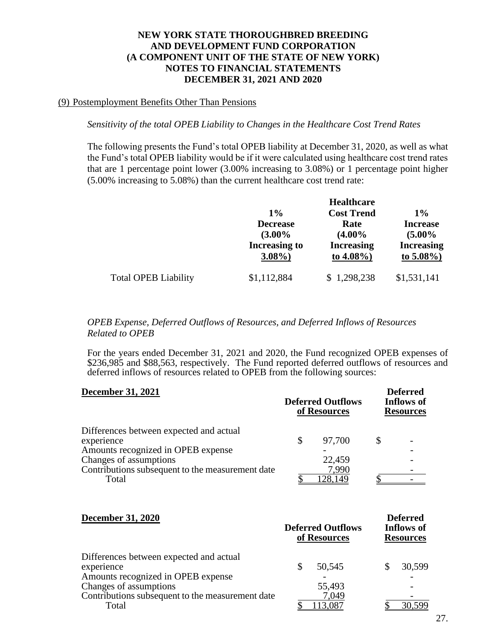#### (9) Postemployment Benefits Other Than Pensions

*Sensitivity of the total OPEB Liability to Changes in the Healthcare Cost Trend Rates*

The following presents the Fund's total OPEB liability at December 31, 2020, as well as what the Fund's total OPEB liability would be if it were calculated using healthcare cost trend rates that are 1 percentage point lower (3.00% increasing to 3.08%) or 1 percentage point higher (5.00% increasing to 5.08%) than the current healthcare cost trend rate:

|                             |                                  | <b>Healthcare</b>                  |                                    |  |  |
|-----------------------------|----------------------------------|------------------------------------|------------------------------------|--|--|
|                             | $1\%$                            | <b>Cost Trend</b>                  | $1\%$                              |  |  |
|                             | <b>Decrease</b><br>$(3.00\%$     | Rate<br>$(4.00\%$                  | <b>Increase</b><br>$(5.00\%$       |  |  |
|                             | <b>Increasing to</b><br>$3.08\%$ | <b>Increasing</b><br>to $4.08\%$ ) | <b>Increasing</b><br>to $5.08\%$ ) |  |  |
| <b>Total OPEB Liability</b> | \$1,112,884                      | \$1,298,238                        | \$1,531,141                        |  |  |

*OPEB Expense, Deferred Outflows of Resources, and Deferred Inflows of Resources Related to OPEB*

For the years ended December 31, 2021 and 2020, the Fund recognized OPEB expenses of \$236,985 and \$88,563, respectively. The Fund reported deferred outflows of resources and deferred inflows of resources related to OPEB from the following sources:

| <b>December 31, 2021</b>                                                                    | <b>Deferred Outflows</b><br>of Resources | <b>Deferred</b><br><b>Inflows of</b><br><b>Resources</b> |  |  |  |
|---------------------------------------------------------------------------------------------|------------------------------------------|----------------------------------------------------------|--|--|--|
| Differences between expected and actual<br>experience<br>Amounts recognized in OPEB expense | 97,700                                   |                                                          |  |  |  |
| Changes of assumptions<br>Contributions subsequent to the measurement date                  | 22,459<br>7.990                          |                                                          |  |  |  |
| Total                                                                                       | 128,149                                  |                                                          |  |  |  |

| <b>December 31, 2020</b>                                                                                              |    | <b>Deferred Outflows</b><br>of Resources | <b>Deferred</b><br><b>Inflows of</b><br><b>Resources</b> |  |  |
|-----------------------------------------------------------------------------------------------------------------------|----|------------------------------------------|----------------------------------------------------------|--|--|
| Differences between expected and actual<br>experience<br>Amounts recognized in OPEB expense<br>Changes of assumptions | \$ | 50,545<br>55,493                         | 30,599                                                   |  |  |
| Contributions subsequent to the measurement date<br>Total                                                             |    | 7,049                                    |                                                          |  |  |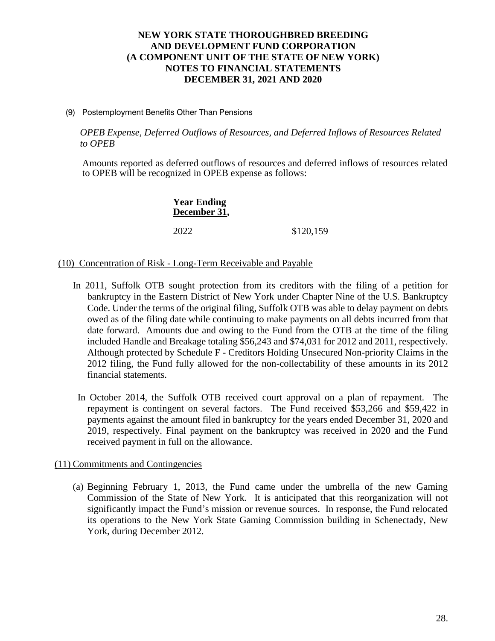#### (9) Postemployment Benefits Other Than Pensions

*OPEB Expense, Deferred Outflows of Resources, and Deferred Inflows of Resources Related to OPEB*

Amounts reported as deferred outflows of resources and deferred inflows of resources related to OPEB will be recognized in OPEB expense as follows:

> **Year Ending December 31,** 2022 \$120,159

## (10) Concentration of Risk - Long-Term Receivable and Payable

- In 2011, Suffolk OTB sought protection from its creditors with the filing of a petition for bankruptcy in the Eastern District of New York under Chapter Nine of the U.S. Bankruptcy Code. Under the terms of the original filing, Suffolk OTB was able to delay payment on debts owed as of the filing date while continuing to make payments on all debts incurred from that date forward. Amounts due and owing to the Fund from the OTB at the time of the filing included Handle and Breakage totaling \$56,243 and \$74,031 for 2012 and 2011, respectively. Although protected by Schedule F - Creditors Holding Unsecured Non-priority Claims in the 2012 filing, the Fund fully allowed for the non-collectability of these amounts in its 2012 financial statements.
- In October 2014, the Suffolk OTB received court approval on a plan of repayment. The repayment is contingent on several factors. The Fund received \$53,266 and \$59,422 in payments against the amount filed in bankruptcy for the years ended December 31, 2020 and 2019, respectively. Final payment on the bankruptcy was received in 2020 and the Fund received payment in full on the allowance.

## (11) Commitments and Contingencies

(a) Beginning February 1, 2013, the Fund came under the umbrella of the new Gaming Commission of the State of New York. It is anticipated that this reorganization will not significantly impact the Fund's mission or revenue sources. In response, the Fund relocated its operations to the New York State Gaming Commission building in Schenectady, New York, during December 2012.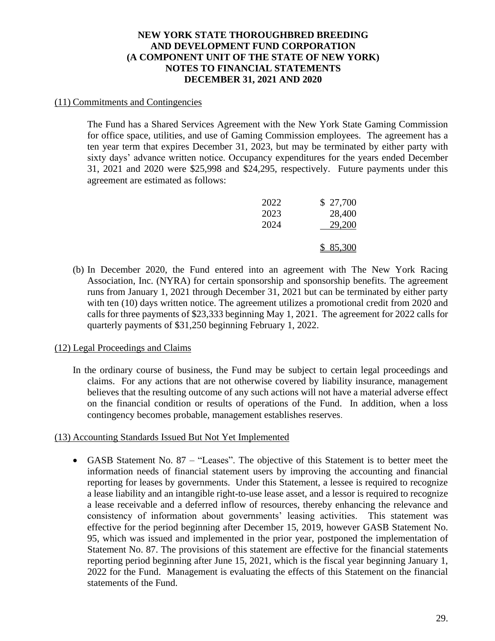## (11) Commitments and Contingencies

The Fund has a Shared Services Agreement with the New York State Gaming Commission for office space, utilities, and use of Gaming Commission employees. The agreement has a ten year term that expires December 31, 2023, but may be terminated by either party with sixty days' advance written notice. Occupancy expenditures for the years ended December 31, 2021 and 2020 were \$25,998 and \$24,295, respectively. Future payments under this agreement are estimated as follows:

| 2022 | \$ 27,700 |
|------|-----------|
| 2023 | 28,400    |
| 2024 | 29,200    |
|      | \$85,300  |

(b) In December 2020, the Fund entered into an agreement with The New York Racing Association, Inc. (NYRA) for certain sponsorship and sponsorship benefits. The agreement runs from January 1, 2021 through December 31, 2021 but can be terminated by either party with ten (10) days written notice. The agreement utilizes a promotional credit from 2020 and calls for three payments of \$23,333 beginning May 1, 2021. The agreement for 2022 calls for quarterly payments of \$31,250 beginning February 1, 2022.

## (12) Legal Proceedings and Claims

In the ordinary course of business, the Fund may be subject to certain legal proceedings and claims. For any actions that are not otherwise covered by liability insurance, management believes that the resulting outcome of any such actions will not have a material adverse effect on the financial condition or results of operations of the Fund. In addition, when a loss contingency becomes probable, management establishes reserves.

## (13) Accounting Standards Issued But Not Yet Implemented

• GASB Statement No. 87 – "Leases". The objective of this Statement is to better meet the information needs of financial statement users by improving the accounting and financial reporting for leases by governments. Under this Statement, a lessee is required to recognize a lease liability and an intangible right-to-use lease asset, and a lessor is required to recognize a lease receivable and a deferred inflow of resources, thereby enhancing the relevance and consistency of information about governments' leasing activities. This statement was effective for the period beginning after December 15, 2019, however GASB Statement No. 95, which was issued and implemented in the prior year, postponed the implementation of Statement No. 87. The provisions of this statement are effective for the financial statements reporting period beginning after June 15, 2021, which is the fiscal year beginning January 1, 2022 for the Fund. Management is evaluating the effects of this Statement on the financial statements of the Fund.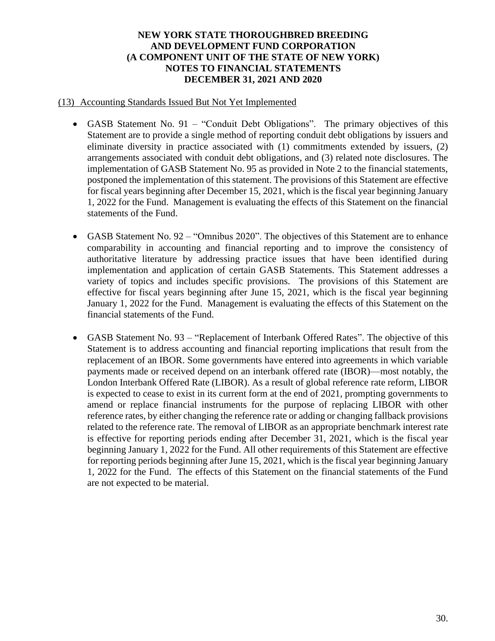## (13) Accounting Standards Issued But Not Yet Implemented

- GASB Statement No. 91 "Conduit Debt Obligations". The primary objectives of this Statement are to provide a single method of reporting conduit debt obligations by issuers and eliminate diversity in practice associated with (1) commitments extended by issuers, (2) arrangements associated with conduit debt obligations, and (3) related note disclosures. The implementation of GASB Statement No. 95 as provided in Note 2 to the financial statements, postponed the implementation of this statement. The provisions of this Statement are effective for fiscal years beginning after December 15, 2021, which is the fiscal year beginning January 1, 2022 for the Fund. Management is evaluating the effects of this Statement on the financial statements of the Fund.
- GASB Statement No. 92 "Omnibus 2020". The objectives of this Statement are to enhance comparability in accounting and financial reporting and to improve the consistency of authoritative literature by addressing practice issues that have been identified during implementation and application of certain GASB Statements. This Statement addresses a variety of topics and includes specific provisions. The provisions of this Statement are effective for fiscal years beginning after June 15, 2021, which is the fiscal year beginning January 1, 2022 for the Fund. Management is evaluating the effects of this Statement on the financial statements of the Fund.
- GASB Statement No. 93 "Replacement of Interbank Offered Rates". The objective of this Statement is to address accounting and financial reporting implications that result from the replacement of an IBOR. Some governments have entered into agreements in which variable payments made or received depend on an interbank offered rate (IBOR)—most notably, the London Interbank Offered Rate (LIBOR). As a result of global reference rate reform, LIBOR is expected to cease to exist in its current form at the end of 2021, prompting governments to amend or replace financial instruments for the purpose of replacing LIBOR with other reference rates, by either changing the reference rate or adding or changing fallback provisions related to the reference rate. The removal of LIBOR as an appropriate benchmark interest rate is effective for reporting periods ending after December 31, 2021, which is the fiscal year beginning January 1, 2022 for the Fund. All other requirements of this Statement are effective for reporting periods beginning after June 15, 2021, which is the fiscal year beginning January 1, 2022 for the Fund. The effects of this Statement on the financial statements of the Fund are not expected to be material.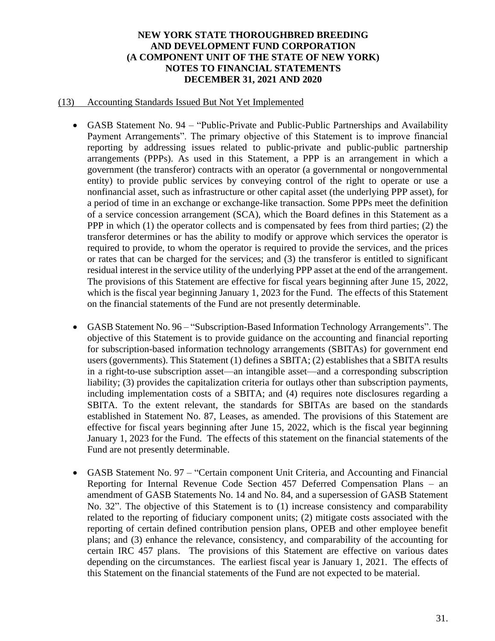#### (13) Accounting Standards Issued But Not Yet Implemented

- GASB Statement No. 94 "Public-Private and Public-Public Partnerships and Availability Payment Arrangements". The primary objective of this Statement is to improve financial reporting by addressing issues related to public-private and public-public partnership arrangements (PPPs). As used in this Statement, a PPP is an arrangement in which a government (the transferor) contracts with an operator (a governmental or nongovernmental entity) to provide public services by conveying control of the right to operate or use a nonfinancial asset, such as infrastructure or other capital asset (the underlying PPP asset), for a period of time in an exchange or exchange-like transaction. Some PPPs meet the definition of a service concession arrangement (SCA), which the Board defines in this Statement as a PPP in which (1) the operator collects and is compensated by fees from third parties; (2) the transferor determines or has the ability to modify or approve which services the operator is required to provide, to whom the operator is required to provide the services, and the prices or rates that can be charged for the services; and (3) the transferor is entitled to significant residual interest in the service utility of the underlying PPP asset at the end of the arrangement. The provisions of this Statement are effective for fiscal years beginning after June 15, 2022, which is the fiscal year beginning January 1, 2023 for the Fund. The effects of this Statement on the financial statements of the Fund are not presently determinable.
- GASB Statement No. 96 "Subscription-Based Information Technology Arrangements". The objective of this Statement is to provide guidance on the accounting and financial reporting for subscription-based information technology arrangements (SBITAs) for government end users (governments). This Statement (1) defines a SBITA; (2) establishes that a SBITA results in a right-to-use subscription asset—an intangible asset—and a corresponding subscription liability; (3) provides the capitalization criteria for outlays other than subscription payments, including implementation costs of a SBITA; and (4) requires note disclosures regarding a SBITA. To the extent relevant, the standards for SBITAs are based on the standards established in Statement No. 87, Leases, as amended. The provisions of this Statement are effective for fiscal years beginning after June 15, 2022, which is the fiscal year beginning January 1, 2023 for the Fund. The effects of this statement on the financial statements of the Fund are not presently determinable.
- GASB Statement No. 97 "Certain component Unit Criteria, and Accounting and Financial Reporting for Internal Revenue Code Section 457 Deferred Compensation Plans – an amendment of GASB Statements No. 14 and No. 84, and a supersession of GASB Statement No. 32". The objective of this Statement is to (1) increase consistency and comparability related to the reporting of fiduciary component units; (2) mitigate costs associated with the reporting of certain defined contribution pension plans, OPEB and other employee benefit plans; and (3) enhance the relevance, consistency, and comparability of the accounting for certain IRC 457 plans. The provisions of this Statement are effective on various dates depending on the circumstances. The earliest fiscal year is January 1, 2021. The effects of this Statement on the financial statements of the Fund are not expected to be material.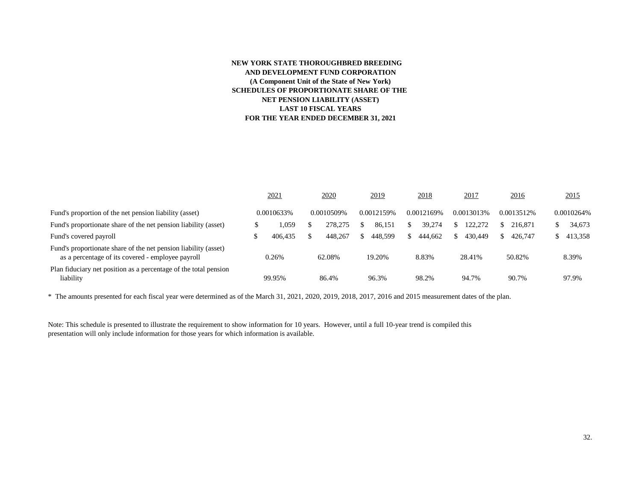#### **NEW YORK STATE THOROUGHBRED BREEDING AND DEVELOPMENT FUND CORPORATION (A Component Unit of the State of New York) SCHEDULES OF PROPORTIONATE SHARE OF THE NET PENSION LIABILITY (ASSET) LAST 10 FISCAL YEARS FOR THE YEAR ENDED DECEMBER 31, 2021**

|                                                                                                                      | 2021       | 2020       |    | 2019       | 2018       |    | 2017       | 2016       | 2015       |
|----------------------------------------------------------------------------------------------------------------------|------------|------------|----|------------|------------|----|------------|------------|------------|
| Fund's proportion of the net pension liability (asset)                                                               | 0.0010633% | 0.0010509% |    | 0.0012159% | 0.0012169% |    | 0.0013013% | 0.0013512% | 0.0010264% |
| Fund's proportionate share of the net pension liability (asset)                                                      | .059       | 278,275    | S  | 86.151     | 39.274     |    | 122.272    | 216,871    | 34,673     |
| Fund's covered payroll                                                                                               | 406.435    | 448.267    | S. | 448.599    | \$444,662  | S. | 430,449    | 426,747    | 413,358    |
| Fund's proportionate share of the net pension liability (asset)<br>as a percentage of its covered - employee payroll | 0.26%      | 62.08%     |    | 19.20%     | 8.83%      |    | 28.41%     | 50.82%     | 8.39%      |
| Plan fiduciary net position as a percentage of the total pension<br>liability                                        | 99.95%     | 86.4%      |    | 96.3%      | 98.2%      |    | 94.7%      | 90.7%      | 97.9%      |

\* The amounts presented for each fiscal year were determined as of the March 31, 2021, 2020, 2019, 2018, 2017, 2016 and 2015 measurement dates of the plan.

Note: This schedule is presented to illustrate the requirement to show information for 10 years. However, until a full 10-year trend is compiled this presentation will only include information for those years for which information is available.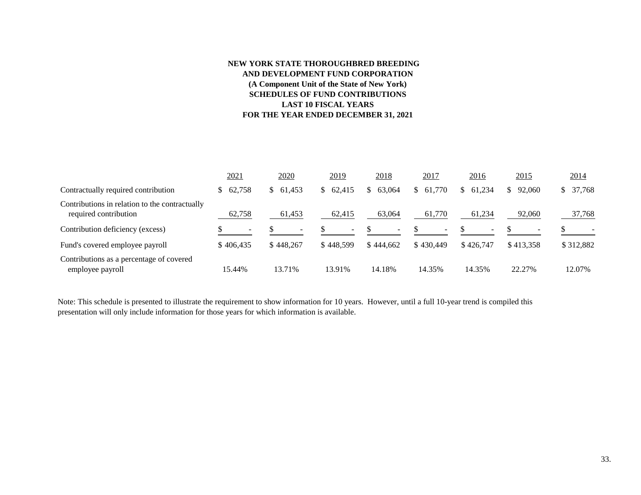#### **NEW YORK STATE THOROUGHBRED BREEDING AND DEVELOPMENT FUND CORPORATION (A Component Unit of the State of New York) SCHEDULES OF FUND CONTRIBUTIONS LAST 10 FISCAL YEARS FOR THE YEAR ENDED DECEMBER 31, 2021**

|                                                                         | 2021      | 2020      | 2019      | 2018                     | 2017      | 2016         | 2015      | 2014         |
|-------------------------------------------------------------------------|-----------|-----------|-----------|--------------------------|-----------|--------------|-----------|--------------|
| Contractually required contribution                                     | 62,758    | \$61,453  | \$62,415  | 63,064<br>S.             | \$61,770  | 61.234<br>S. | \$92,060  | 37,768<br>S. |
| Contributions in relation to the contractually<br>required contribution | 62,758    | 61,453    | 62,415    | 63,064                   | 61,770    | 61,234       | 92,060    | 37,768       |
| Contribution deficiency (excess)                                        |           |           | ۰.        | $\overline{\phantom{0}}$ |           |              |           |              |
| Fund's covered employee payroll                                         | \$406,435 | \$448.267 | \$448.599 | \$444.662                | \$430.449 | \$426,747    | \$413.358 | \$312,882    |
| Contributions as a percentage of covered<br>employee payroll            | 15.44%    | 13.71%    | 13.91%    | 14.18%                   | 14.35%    | 14.35%       | 22.27%    | 12.07%       |

Note: This schedule is presented to illustrate the requirement to show information for 10 years. However, until a full 10-year trend is compiled this presentation will only include information for those years for which information is available.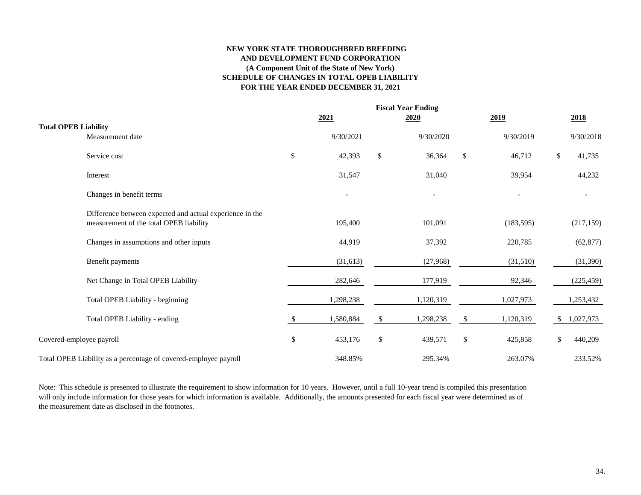#### **NEW YORK STATE THOROUGHBRED BREEDING AND DEVELOPMENT FUND CORPORATION (A Component Unit of the State of New York) SCHEDULE OF CHANGES IN TOTAL OPEB LIABILITY FOR THE YEAR ENDED DECEMBER 31, 2021**

|                                                                                                     |      | 2021      |              | <b>Fiscal Year Ending</b><br>2020 |                           | 2019       |              | 2018       |
|-----------------------------------------------------------------------------------------------------|------|-----------|--------------|-----------------------------------|---------------------------|------------|--------------|------------|
| <b>Total OPEB Liability</b><br>Measurement date                                                     |      | 9/30/2021 |              | 9/30/2020                         |                           | 9/30/2019  |              | 9/30/2018  |
| Service cost                                                                                        | \$   | 42,393    | $\mathbb{S}$ | 36,364                            | $\boldsymbol{\mathsf{S}}$ | 46,712     | $\mathbb{S}$ | 41,735     |
| Interest                                                                                            |      | 31,547    |              | 31,040                            |                           | 39,954     |              | 44,232     |
| Changes in benefit terms                                                                            |      |           |              |                                   |                           |            |              |            |
| Difference between expected and actual experience in the<br>measurement of the total OPEB liability |      | 195,400   |              | 101,091                           |                           | (183, 595) |              | (217, 159) |
| Changes in assumptions and other inputs                                                             |      | 44,919    |              | 37,392                            |                           | 220,785    |              | (62, 877)  |
| Benefit payments                                                                                    |      | (31, 613) |              | (27,968)                          |                           | (31,510)   |              | (31, 390)  |
| Net Change in Total OPEB Liability                                                                  |      | 282,646   |              | 177,919                           |                           | 92,346     |              | (225, 459) |
| Total OPEB Liability - beginning                                                                    |      | 1,298,238 |              | 1,120,319                         |                           | 1,027,973  |              | 1,253,432  |
| Total OPEB Liability - ending                                                                       |      | 1,580,884 | \$           | 1,298,238                         | \$                        | 1,120,319  | <sup>S</sup> | 1,027,973  |
| Covered-employee payroll                                                                            | $\$$ | 453,176   | $\$$         | 439,571                           | $\boldsymbol{\mathsf{S}}$ | 425,858    | \$           | 440,209    |
| Total OPEB Liability as a percentage of covered-employee payroll                                    |      | 348.85%   |              | 295.34%                           |                           | 263.07%    |              | 233.52%    |

Note: This schedule is presented to illustrate the requirement to show information for 10 years. However, until a full 10-year trend is compiled this presentation will only include information for those years for which information is available. Additionally, the amounts presented for each fiscal year were determined as of the measurement date as disclosed in the footnotes.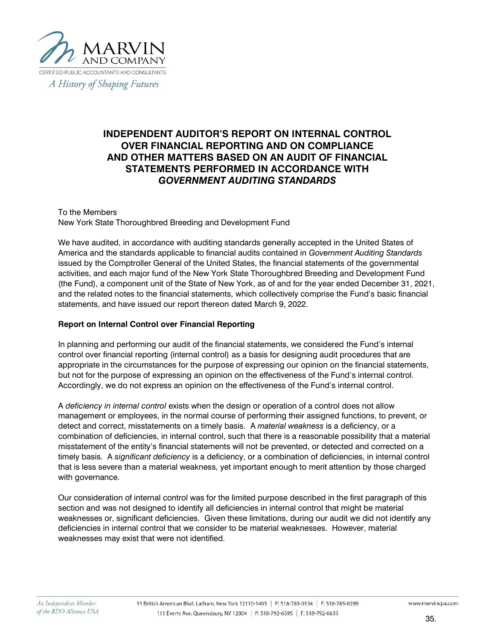

# **INDEPENDENT AUDITOR'S REPORT ON INTERNAL CONTROL OVER FINANCIAL REPORTING AND ON COMPLIANCE AND OTHER MATTERS BASED ON AN AUDIT OF FINANCIAL STATEMENTS PERFORMED IN ACCORDANCE WITH** *GOVERNMENT AUDITING STANDARDS*

#### To the Members New York State Thoroughbred Breeding and Development Fund

We have audited, in accordance with auditing standards generally accepted in the United States of America and the standards applicable to financial audits contained in *Government Auditing Standards*  issued by the Comptroller General of the United States, the financial statements of the governmental activities, and each major fund of the New York State Thoroughbred Breeding and Development Fund (the Fund), a component unit of the State of New York, as of and for the year ended December 31, 2021, and the related notes to the financial statements, which collectively comprise the Fund's basic financial statements, and have issued our report thereon dated March 9, 2022.

#### **Report on Internal Control over Financial Reporting**

In planning and performing our audit of the financial statements, we considered the Fund's internal control over financial reporting (internal control) as a basis for designing audit procedures that are appropriate in the circumstances for the purpose of expressing our opinion on the financial statements, but not for the purpose of expressing an opinion on the effectiveness of the Fund's internal control. Accordingly, we do not express an opinion on the effectiveness of the Fund's internal control.

A *deficiency in internal control* exists when the design or operation of a control does not allow management or employees, in the normal course of performing their assigned functions, to prevent, or detect and correct, misstatements on a timely basis. A *material weakness* is a deficiency, or a combination of deficiencies, in internal control, such that there is a reasonable possibility that a material misstatement of the entity's financial statements will not be prevented, or detected and corrected on a timely basis. A *significant deficiency* is a deficiency, or a combination of deficiencies, in internal control that is less severe than a material weakness, yet important enough to merit attention by those charged with governance.

Our consideration of internal control was for the limited purpose described in the first paragraph of this section and was not designed to identify all deficiencies in internal control that might be material weaknesses or, significant deficiencies. Given these limitations, during our audit we did not identify any deficiencies in internal control that we consider to be material weaknesses. However, material weaknesses may exist that were not identified.